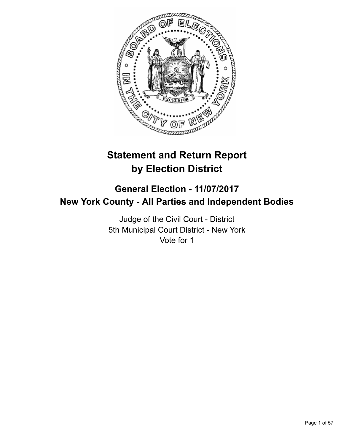

# **Statement and Return Report by Election District**

## **General Election - 11/07/2017 New York County - All Parties and Independent Bodies**

Judge of the Civil Court - District 5th Municipal Court District - New York Vote for 1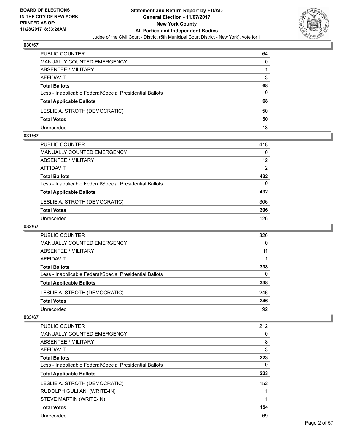

| PUBLIC COUNTER                                           | 64 |
|----------------------------------------------------------|----|
| MANUALLY COUNTED EMERGENCY                               | 0  |
| ABSENTEE / MILITARY                                      |    |
| AFFIDAVIT                                                | 3  |
| <b>Total Ballots</b>                                     | 68 |
| Less - Inapplicable Federal/Special Presidential Ballots | 0  |
| <b>Total Applicable Ballots</b>                          | 68 |
| LESLIE A. STROTH (DEMOCRATIC)                            | 50 |
| <b>Total Votes</b>                                       | 50 |
| Unrecorded                                               | 18 |

#### **031/67**

| PUBLIC COUNTER                                           | 418 |
|----------------------------------------------------------|-----|
| <b>MANUALLY COUNTED EMERGENCY</b>                        | 0   |
| ABSENTEE / MILITARY                                      | 12  |
| AFFIDAVIT                                                | 2   |
| <b>Total Ballots</b>                                     | 432 |
| Less - Inapplicable Federal/Special Presidential Ballots | 0   |
| <b>Total Applicable Ballots</b>                          | 432 |
| LESLIE A. STROTH (DEMOCRATIC)                            | 306 |
| <b>Total Votes</b>                                       | 306 |
| Unrecorded                                               | 126 |
|                                                          |     |

## **032/67**

| <b>PUBLIC COUNTER</b>                                    | 326 |
|----------------------------------------------------------|-----|
| MANUALLY COUNTED EMERGENCY                               | 0   |
| ABSENTEE / MILITARY                                      | 11  |
| AFFIDAVIT                                                |     |
| <b>Total Ballots</b>                                     | 338 |
| Less - Inapplicable Federal/Special Presidential Ballots | 0   |
| <b>Total Applicable Ballots</b>                          | 338 |
| LESLIE A. STROTH (DEMOCRATIC)                            | 246 |
| <b>Total Votes</b>                                       | 246 |
| Unrecorded                                               | 92  |

| <b>PUBLIC COUNTER</b>                                    | 212 |
|----------------------------------------------------------|-----|
| <b>MANUALLY COUNTED EMERGENCY</b>                        | 0   |
| ABSENTEE / MILITARY                                      | 8   |
| <b>AFFIDAVIT</b>                                         | 3   |
| <b>Total Ballots</b>                                     | 223 |
| Less - Inapplicable Federal/Special Presidential Ballots | 0   |
| <b>Total Applicable Ballots</b>                          | 223 |
|                                                          |     |
| LESLIE A. STROTH (DEMOCRATIC)                            | 152 |
| RUDOLPH GULIIANI (WRITE-IN)                              |     |
| STEVE MARTIN (WRITE-IN)                                  |     |
| <b>Total Votes</b>                                       | 154 |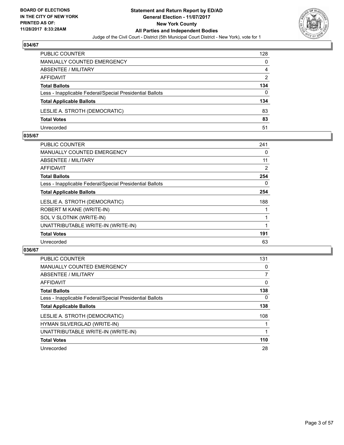

| <b>PUBLIC COUNTER</b>                                    | 128 |
|----------------------------------------------------------|-----|
| <b>MANUALLY COUNTED EMERGENCY</b>                        | 0   |
| ABSENTEE / MILITARY                                      | 4   |
| AFFIDAVIT                                                | 2   |
| <b>Total Ballots</b>                                     | 134 |
| Less - Inapplicable Federal/Special Presidential Ballots | 0   |
| <b>Total Applicable Ballots</b>                          | 134 |
| LESLIE A. STROTH (DEMOCRATIC)                            | 83  |
| <b>Total Votes</b>                                       | 83  |
| Unrecorded                                               | 51  |

#### **035/67**

| PUBLIC COUNTER                                           | 241            |
|----------------------------------------------------------|----------------|
| <b>MANUALLY COUNTED EMERGENCY</b>                        | 0              |
| ABSENTEE / MILITARY                                      | 11             |
| AFFIDAVIT                                                | $\overline{2}$ |
| <b>Total Ballots</b>                                     | 254            |
| Less - Inapplicable Federal/Special Presidential Ballots | 0              |
| <b>Total Applicable Ballots</b>                          | 254            |
| LESLIE A. STROTH (DEMOCRATIC)                            | 188            |
| ROBERT M KANE (WRITE-IN)                                 |                |
| SOL V SLOTNIK (WRITE-IN)                                 |                |
| UNATTRIBUTABLE WRITE-IN (WRITE-IN)                       |                |
| <b>Total Votes</b>                                       | 191            |
| Unrecorded                                               | 63             |
|                                                          |                |

| <b>PUBLIC COUNTER</b>                                    | 131            |
|----------------------------------------------------------|----------------|
| <b>MANUALLY COUNTED EMERGENCY</b>                        | 0              |
| <b>ABSENTEE / MILITARY</b>                               | $\overline{7}$ |
| <b>AFFIDAVIT</b>                                         | $\mathbf{0}$   |
| <b>Total Ballots</b>                                     | 138            |
| Less - Inapplicable Federal/Special Presidential Ballots | $\Omega$       |
| <b>Total Applicable Ballots</b>                          | 138            |
| LESLIE A. STROTH (DEMOCRATIC)                            | 108            |
| HYMAN SILVERGLAD (WRITE-IN)                              |                |
| UNATTRIBUTABLE WRITE-IN (WRITE-IN)                       |                |
| <b>Total Votes</b>                                       | 110            |
| Unrecorded                                               | 28             |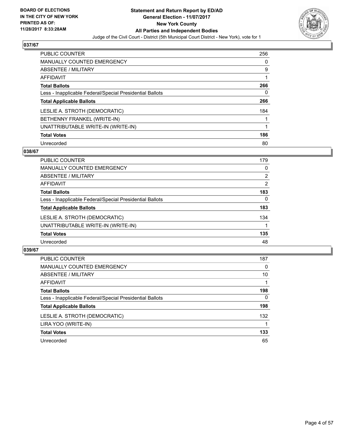

| <b>PUBLIC COUNTER</b>                                    | 256 |
|----------------------------------------------------------|-----|
| <b>MANUALLY COUNTED EMERGENCY</b>                        | 0   |
| ABSENTEE / MILITARY                                      | 9   |
| <b>AFFIDAVIT</b>                                         |     |
| <b>Total Ballots</b>                                     | 266 |
| Less - Inapplicable Federal/Special Presidential Ballots | 0   |
| <b>Total Applicable Ballots</b>                          | 266 |
| LESLIE A. STROTH (DEMOCRATIC)                            | 184 |
| BETHENNY FRANKEL (WRITE-IN)                              |     |
| UNATTRIBUTABLE WRITE-IN (WRITE-IN)                       |     |
| <b>Total Votes</b>                                       | 186 |
| Unrecorded                                               | 80  |

#### **038/67**

| <b>PUBLIC COUNTER</b>                                    | 179 |
|----------------------------------------------------------|-----|
| <b>MANUALLY COUNTED EMERGENCY</b>                        | 0   |
| ABSENTEE / MILITARY                                      | 2   |
| AFFIDAVIT                                                | 2   |
| <b>Total Ballots</b>                                     | 183 |
| Less - Inapplicable Federal/Special Presidential Ballots | 0   |
| <b>Total Applicable Ballots</b>                          | 183 |
| LESLIE A. STROTH (DEMOCRATIC)                            | 134 |
| UNATTRIBUTABLE WRITE-IN (WRITE-IN)                       |     |
| <b>Total Votes</b>                                       | 135 |
| Unrecorded                                               | 48  |

| <b>PUBLIC COUNTER</b>                                    | 187 |
|----------------------------------------------------------|-----|
| <b>MANUALLY COUNTED EMERGENCY</b>                        | 0   |
| ABSENTEE / MILITARY                                      | 10  |
| AFFIDAVIT                                                |     |
| <b>Total Ballots</b>                                     | 198 |
| Less - Inapplicable Federal/Special Presidential Ballots | 0   |
| <b>Total Applicable Ballots</b>                          | 198 |
| LESLIE A. STROTH (DEMOCRATIC)                            | 132 |
| LIRA YOO (WRITE-IN)                                      |     |
| <b>Total Votes</b>                                       | 133 |
| Unrecorded                                               | 65  |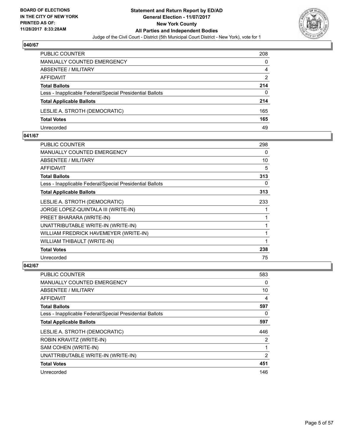

| <b>PUBLIC COUNTER</b>                                    | 208 |
|----------------------------------------------------------|-----|
| <b>MANUALLY COUNTED EMERGENCY</b>                        | 0   |
| ABSENTEE / MILITARY                                      | 4   |
| AFFIDAVIT                                                | 2   |
| <b>Total Ballots</b>                                     | 214 |
| Less - Inapplicable Federal/Special Presidential Ballots | 0   |
| <b>Total Applicable Ballots</b>                          | 214 |
| LESLIE A. STROTH (DEMOCRATIC)                            | 165 |
| <b>Total Votes</b>                                       | 165 |
| Unrecorded                                               | 49  |

#### **041/67**

| PUBLIC COUNTER                                           | 298 |
|----------------------------------------------------------|-----|
| <b>MANUALLY COUNTED EMERGENCY</b>                        | 0   |
| ABSENTEE / MILITARY                                      | 10  |
| AFFIDAVIT                                                | 5   |
| <b>Total Ballots</b>                                     | 313 |
| Less - Inapplicable Federal/Special Presidential Ballots | 0   |
| <b>Total Applicable Ballots</b>                          | 313 |
| LESLIE A. STROTH (DEMOCRATIC)                            | 233 |
| JORGE LOPEZ-QUINTALA III (WRITE-IN)                      |     |
| PREET BHARARA (WRITE-IN)                                 |     |
| UNATTRIBUTABLE WRITE-IN (WRITE-IN)                       |     |
| WILLIAM FREDRICK HAVEMEYER (WRITE-IN)                    |     |
| WILLIAM THIBAULT (WRITE-IN)                              |     |
| <b>Total Votes</b>                                       | 238 |
| Unrecorded                                               | 75  |
|                                                          |     |

| PUBLIC COUNTER                                           | 583 |
|----------------------------------------------------------|-----|
| MANUALLY COUNTED EMERGENCY                               | 0   |
| ABSENTEE / MILITARY                                      | 10  |
| AFFIDAVIT                                                | 4   |
| <b>Total Ballots</b>                                     | 597 |
| Less - Inapplicable Federal/Special Presidential Ballots | 0   |
| <b>Total Applicable Ballots</b>                          | 597 |
| LESLIE A. STROTH (DEMOCRATIC)                            | 446 |
| ROBIN KRAVITZ (WRITE-IN)                                 | 2   |
| SAM COHEN (WRITE-IN)                                     |     |
| UNATTRIBUTABLE WRITE-IN (WRITE-IN)                       | 2   |
| <b>Total Votes</b>                                       | 451 |
| Unrecorded                                               | 146 |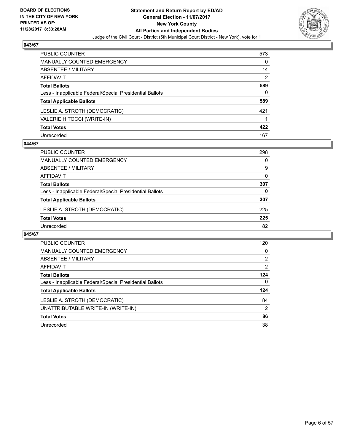

| PUBLIC COUNTER                                           | 573            |
|----------------------------------------------------------|----------------|
| <b>MANUALLY COUNTED EMERGENCY</b>                        | 0              |
| ABSENTEE / MILITARY                                      | 14             |
| AFFIDAVIT                                                | $\overline{2}$ |
| <b>Total Ballots</b>                                     | 589            |
| Less - Inapplicable Federal/Special Presidential Ballots | 0              |
| <b>Total Applicable Ballots</b>                          | 589            |
| LESLIE A. STROTH (DEMOCRATIC)                            | 421            |
| VALERIE H TOCCI (WRITE-IN)                               |                |
| <b>Total Votes</b>                                       | 422            |
| Unrecorded                                               | 167            |

#### **044/67**

| <b>PUBLIC COUNTER</b>                                    | 298      |
|----------------------------------------------------------|----------|
| MANUALLY COUNTED EMERGENCY                               | 0        |
| ABSENTEE / MILITARY                                      | 9        |
| AFFIDAVIT                                                | 0        |
| <b>Total Ballots</b>                                     | 307      |
| Less - Inapplicable Federal/Special Presidential Ballots | $\Omega$ |
| <b>Total Applicable Ballots</b>                          | 307      |
| LESLIE A. STROTH (DEMOCRATIC)                            | 225      |
| <b>Total Votes</b>                                       | 225      |
| Unrecorded                                               | 82       |

| <b>PUBLIC COUNTER</b>                                    | 120 |
|----------------------------------------------------------|-----|
| <b>MANUALLY COUNTED EMERGENCY</b>                        | 0   |
| ABSENTEE / MILITARY                                      | 2   |
| AFFIDAVIT                                                | 2   |
| <b>Total Ballots</b>                                     | 124 |
| Less - Inapplicable Federal/Special Presidential Ballots | 0   |
| <b>Total Applicable Ballots</b>                          | 124 |
| LESLIE A. STROTH (DEMOCRATIC)                            | 84  |
| UNATTRIBUTABLE WRITE-IN (WRITE-IN)                       | 2   |
| <b>Total Votes</b>                                       | 86  |
| Unrecorded                                               | 38  |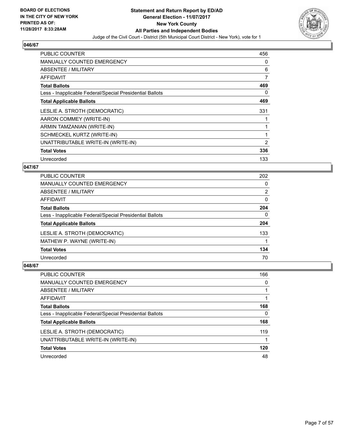

| <b>PUBLIC COUNTER</b>                                    | 456            |
|----------------------------------------------------------|----------------|
| <b>MANUALLY COUNTED EMERGENCY</b>                        | 0              |
| ABSENTEE / MILITARY                                      | 6              |
| AFFIDAVIT                                                | 7              |
| <b>Total Ballots</b>                                     | 469            |
| Less - Inapplicable Federal/Special Presidential Ballots | 0              |
| <b>Total Applicable Ballots</b>                          | 469            |
| LESLIE A. STROTH (DEMOCRATIC)                            | 331            |
| AARON COMMEY (WRITE-IN)                                  |                |
| ARMIN TAMZANIAN (WRITE-IN)                               |                |
| SCHMECKEL KURTZ (WRITE-IN)                               |                |
| UNATTRIBUTABLE WRITE-IN (WRITE-IN)                       | $\overline{2}$ |
| <b>Total Votes</b>                                       | 336            |
| Unrecorded                                               | 133            |

## **047/67**

| <b>PUBLIC COUNTER</b>                                    | 202            |
|----------------------------------------------------------|----------------|
| <b>MANUALLY COUNTED EMERGENCY</b>                        | 0              |
| ABSENTEE / MILITARY                                      | $\overline{2}$ |
| <b>AFFIDAVIT</b>                                         | 0              |
| <b>Total Ballots</b>                                     | 204            |
| Less - Inapplicable Federal/Special Presidential Ballots | 0              |
| <b>Total Applicable Ballots</b>                          | 204            |
| LESLIE A. STROTH (DEMOCRATIC)                            | 133            |
| MATHEW P. WAYNE (WRITE-IN)                               |                |
| <b>Total Votes</b>                                       | 134            |
| Unrecorded                                               | 70             |

| PUBLIC COUNTER                                           | 166      |
|----------------------------------------------------------|----------|
| <b>MANUALLY COUNTED EMERGENCY</b>                        | 0        |
| ABSENTEE / MILITARY                                      |          |
| <b>AFFIDAVIT</b>                                         |          |
| <b>Total Ballots</b>                                     | 168      |
| Less - Inapplicable Federal/Special Presidential Ballots | $\Omega$ |
| <b>Total Applicable Ballots</b>                          | 168      |
| LESLIE A. STROTH (DEMOCRATIC)                            | 119      |
| UNATTRIBUTABLE WRITE-IN (WRITE-IN)                       |          |
| <b>Total Votes</b>                                       | 120      |
| Unrecorded                                               | 48       |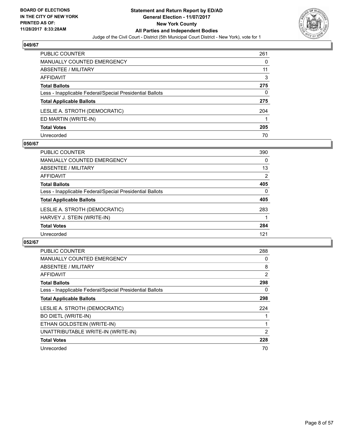

| PUBLIC COUNTER                                           | 261 |
|----------------------------------------------------------|-----|
| <b>MANUALLY COUNTED EMERGENCY</b>                        | 0   |
| ABSENTEE / MILITARY                                      | 11  |
| AFFIDAVIT                                                | 3   |
| <b>Total Ballots</b>                                     | 275 |
| Less - Inapplicable Federal/Special Presidential Ballots | 0   |
| <b>Total Applicable Ballots</b>                          | 275 |
| LESLIE A. STROTH (DEMOCRATIC)                            | 204 |
| ED MARTIN (WRITE-IN)                                     |     |
| <b>Total Votes</b>                                       | 205 |
| Unrecorded                                               | 70  |

#### **050/67**

| <b>PUBLIC COUNTER</b>                                    | 390 |
|----------------------------------------------------------|-----|
| <b>MANUALLY COUNTED EMERGENCY</b>                        | 0   |
| ABSENTEE / MILITARY                                      | 13  |
| AFFIDAVIT                                                | 2   |
| <b>Total Ballots</b>                                     | 405 |
| Less - Inapplicable Federal/Special Presidential Ballots | 0   |
| <b>Total Applicable Ballots</b>                          | 405 |
| LESLIE A. STROTH (DEMOCRATIC)                            | 283 |
| HARVEY J. STEIN (WRITE-IN)                               |     |
| <b>Total Votes</b>                                       | 284 |
| Unrecorded                                               | 121 |

| <b>PUBLIC COUNTER</b>                                    | 288            |
|----------------------------------------------------------|----------------|
| <b>MANUALLY COUNTED EMERGENCY</b>                        | 0              |
| ABSENTEE / MILITARY                                      | 8              |
| <b>AFFIDAVIT</b>                                         | 2              |
| <b>Total Ballots</b>                                     | 298            |
| Less - Inapplicable Federal/Special Presidential Ballots | 0              |
| <b>Total Applicable Ballots</b>                          | 298            |
| LESLIE A. STROTH (DEMOCRATIC)                            | 224            |
| <b>BO DIETL (WRITE-IN)</b>                               |                |
| ETHAN GOLDSTEIN (WRITE-IN)                               |                |
| UNATTRIBUTABLE WRITE-IN (WRITE-IN)                       | $\overline{2}$ |
| <b>Total Votes</b>                                       | 228            |
| Unrecorded                                               | 70             |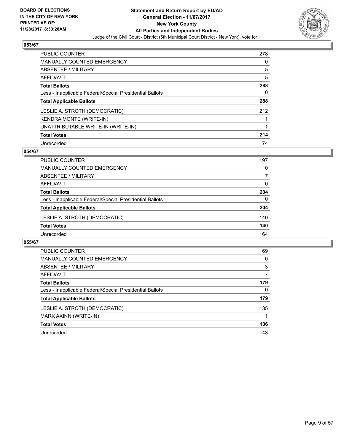

| <b>PUBLIC COUNTER</b>                                    | 278 |
|----------------------------------------------------------|-----|
| <b>MANUALLY COUNTED EMERGENCY</b>                        | 0   |
| ABSENTEE / MILITARY                                      | 5   |
| AFFIDAVIT                                                | 5   |
| <b>Total Ballots</b>                                     | 288 |
| Less - Inapplicable Federal/Special Presidential Ballots | 0   |
| <b>Total Applicable Ballots</b>                          | 288 |
| LESLIE A. STROTH (DEMOCRATIC)                            | 212 |
| <b>KENDRA MONTE (WRITE-IN)</b>                           |     |
| UNATTRIBUTABLE WRITE-IN (WRITE-IN)                       |     |
| <b>Total Votes</b>                                       | 214 |
| Unrecorded                                               | 74  |

## **054/67**

| <b>PUBLIC COUNTER</b>                                    | 197      |
|----------------------------------------------------------|----------|
| <b>MANUALLY COUNTED EMERGENCY</b>                        | 0        |
| ABSENTEE / MILITARY                                      | 7        |
| AFFIDAVIT                                                | $\Omega$ |
| <b>Total Ballots</b>                                     | 204      |
| Less - Inapplicable Federal/Special Presidential Ballots | 0        |
| <b>Total Applicable Ballots</b>                          | 204      |
| LESLIE A. STROTH (DEMOCRATIC)                            | 140      |
| <b>Total Votes</b>                                       | 140      |
| Unrecorded                                               | 64       |

| <b>PUBLIC COUNTER</b>                                    | 169 |
|----------------------------------------------------------|-----|
| <b>MANUALLY COUNTED EMERGENCY</b>                        | 0   |
| ABSENTEE / MILITARY                                      | 3   |
| <b>AFFIDAVIT</b>                                         | 7   |
| <b>Total Ballots</b>                                     | 179 |
| Less - Inapplicable Federal/Special Presidential Ballots | 0   |
| <b>Total Applicable Ballots</b>                          | 179 |
| LESLIE A. STROTH (DEMOCRATIC)                            | 135 |
| MARK AXINN (WRITE-IN)                                    |     |
| <b>Total Votes</b>                                       | 136 |
| Unrecorded                                               | 43  |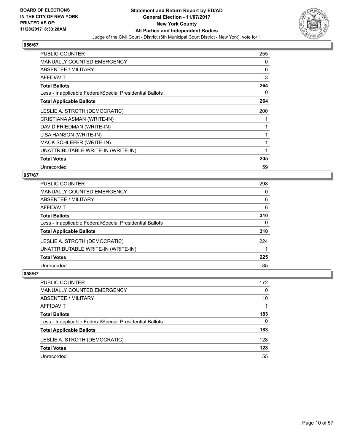

| <b>PUBLIC COUNTER</b>                                    | 255 |
|----------------------------------------------------------|-----|
| <b>MANUALLY COUNTED EMERGENCY</b>                        | 0   |
| ABSENTEE / MILITARY                                      | 6   |
| <b>AFFIDAVIT</b>                                         | 3   |
| <b>Total Ballots</b>                                     | 264 |
| Less - Inapplicable Federal/Special Presidential Ballots | 0   |
| <b>Total Applicable Ballots</b>                          | 264 |
| LESLIE A. STROTH (DEMOCRATIC)                            | 200 |
| CRISTIANA ASMAN (WRITE-IN)                               |     |
| DAVID FRIEDMAN (WRITE-IN)                                |     |
| LISA HANSON (WRITE-IN)                                   |     |
| MACK SCHLEFER (WRITE-IN)                                 |     |
| UNATTRIBUTABLE WRITE-IN (WRITE-IN)                       |     |
| <b>Total Votes</b>                                       | 205 |
| Unrecorded                                               | 59  |

## **057/67**

| PUBLIC COUNTER                                           | 298 |
|----------------------------------------------------------|-----|
| <b>MANUALLY COUNTED EMERGENCY</b>                        | 0   |
| <b>ABSENTEE / MILITARY</b>                               | 6   |
| <b>AFFIDAVIT</b>                                         | 6   |
| <b>Total Ballots</b>                                     | 310 |
| Less - Inapplicable Federal/Special Presidential Ballots | 0   |
| <b>Total Applicable Ballots</b>                          | 310 |
| LESLIE A. STROTH (DEMOCRATIC)                            | 224 |
| UNATTRIBUTABLE WRITE-IN (WRITE-IN)                       |     |
| <b>Total Votes</b>                                       | 225 |
| Unrecorded                                               | 85  |
|                                                          |     |

| PUBLIC COUNTER                                           | 172 |
|----------------------------------------------------------|-----|
| <b>MANUALLY COUNTED EMERGENCY</b>                        | 0   |
| ABSENTEE / MILITARY                                      | 10  |
| AFFIDAVIT                                                |     |
| <b>Total Ballots</b>                                     | 183 |
| Less - Inapplicable Federal/Special Presidential Ballots | 0   |
| <b>Total Applicable Ballots</b>                          | 183 |
| LESLIE A. STROTH (DEMOCRATIC)                            | 128 |
| <b>Total Votes</b>                                       | 128 |
| Unrecorded                                               | 55  |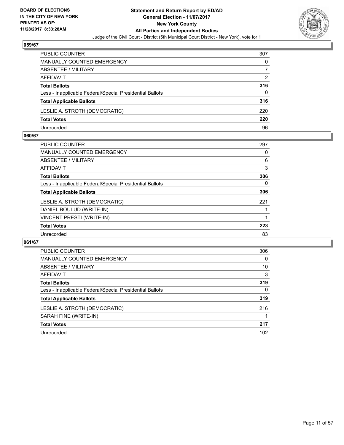

| <b>PUBLIC COUNTER</b>                                    | 307 |
|----------------------------------------------------------|-----|
| <b>MANUALLY COUNTED EMERGENCY</b>                        | 0   |
| ABSENTEE / MILITARY                                      |     |
| AFFIDAVIT                                                | 2   |
| <b>Total Ballots</b>                                     | 316 |
| Less - Inapplicable Federal/Special Presidential Ballots | 0   |
| <b>Total Applicable Ballots</b>                          | 316 |
| LESLIE A. STROTH (DEMOCRATIC)                            | 220 |
| <b>Total Votes</b>                                       | 220 |
| Unrecorded                                               | 96  |

#### **060/67**

| <b>PUBLIC COUNTER</b>                                    | 297 |
|----------------------------------------------------------|-----|
| <b>MANUALLY COUNTED EMERGENCY</b>                        | 0   |
| ABSENTEE / MILITARY                                      | 6   |
| AFFIDAVIT                                                | 3   |
| <b>Total Ballots</b>                                     | 306 |
| Less - Inapplicable Federal/Special Presidential Ballots | 0   |
| <b>Total Applicable Ballots</b>                          | 306 |
| LESLIE A. STROTH (DEMOCRATIC)                            | 221 |
| DANIEL BOULUD (WRITE-IN)                                 |     |
| <b>VINCENT PRESTI (WRITE-IN)</b>                         |     |
| <b>Total Votes</b>                                       | 223 |
| Unrecorded                                               | 83  |
|                                                          |     |

| <b>PUBLIC COUNTER</b>                                    | 306 |
|----------------------------------------------------------|-----|
| <b>MANUALLY COUNTED EMERGENCY</b>                        | 0   |
| ABSENTEE / MILITARY                                      | 10  |
| <b>AFFIDAVIT</b>                                         | 3   |
| <b>Total Ballots</b>                                     | 319 |
| Less - Inapplicable Federal/Special Presidential Ballots | 0   |
| <b>Total Applicable Ballots</b>                          | 319 |
| LESLIE A. STROTH (DEMOCRATIC)                            | 216 |
| SARAH FINE (WRITE-IN)                                    |     |
| <b>Total Votes</b>                                       | 217 |
| Unrecorded                                               | 102 |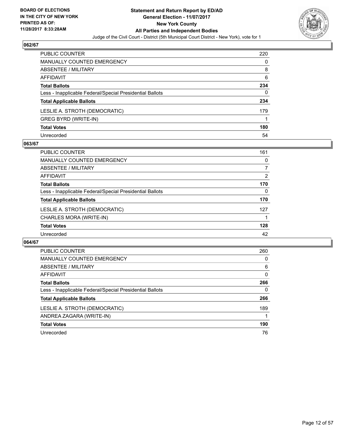

| <b>PUBLIC COUNTER</b>                                    | 220 |
|----------------------------------------------------------|-----|
| <b>MANUALLY COUNTED EMERGENCY</b>                        | 0   |
| ABSENTEE / MILITARY                                      | 8   |
| <b>AFFIDAVIT</b>                                         | 6   |
| <b>Total Ballots</b>                                     | 234 |
| Less - Inapplicable Federal/Special Presidential Ballots | 0   |
| <b>Total Applicable Ballots</b>                          | 234 |
| LESLIE A. STROTH (DEMOCRATIC)                            | 179 |
| GREG BYRD (WRITE-IN)                                     |     |
| <b>Total Votes</b>                                       | 180 |
| Unrecorded                                               | 54  |

## **063/67**

| <b>PUBLIC COUNTER</b>                                    | 161 |
|----------------------------------------------------------|-----|
| MANUALLY COUNTED EMERGENCY                               | 0   |
| ABSENTEE / MILITARY                                      | 7   |
| <b>AFFIDAVIT</b>                                         | 2   |
| <b>Total Ballots</b>                                     | 170 |
| Less - Inapplicable Federal/Special Presidential Ballots | 0   |
| <b>Total Applicable Ballots</b>                          | 170 |
| LESLIE A. STROTH (DEMOCRATIC)                            | 127 |
| CHARLES MORA (WRITE-IN)                                  |     |
| <b>Total Votes</b>                                       | 128 |
| Unrecorded                                               | 42  |

| <b>PUBLIC COUNTER</b>                                    | 260 |
|----------------------------------------------------------|-----|
| <b>MANUALLY COUNTED EMERGENCY</b>                        | 0   |
| ABSENTEE / MILITARY                                      | 6   |
| <b>AFFIDAVIT</b>                                         | 0   |
| <b>Total Ballots</b>                                     | 266 |
| Less - Inapplicable Federal/Special Presidential Ballots | 0   |
| <b>Total Applicable Ballots</b>                          | 266 |
| LESLIE A. STROTH (DEMOCRATIC)                            | 189 |
| ANDREA ZAGARA (WRITE-IN)                                 |     |
| <b>Total Votes</b>                                       | 190 |
| Unrecorded                                               | 76  |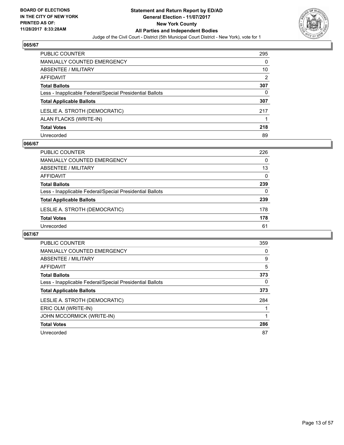

| <b>PUBLIC COUNTER</b>                                    | 295            |
|----------------------------------------------------------|----------------|
| <b>MANUALLY COUNTED EMERGENCY</b>                        | 0              |
| <b>ABSENTEE / MILITARY</b>                               | 10             |
| <b>AFFIDAVIT</b>                                         | $\overline{2}$ |
| <b>Total Ballots</b>                                     | 307            |
| Less - Inapplicable Federal/Special Presidential Ballots | 0              |
| <b>Total Applicable Ballots</b>                          | 307            |
| LESLIE A. STROTH (DEMOCRATIC)                            | 217            |
| ALAN FLACKS (WRITE-IN)                                   |                |
| <b>Total Votes</b>                                       | 218            |
| Unrecorded                                               | 89             |

#### **066/67**

| <b>PUBLIC COUNTER</b>                                    | 226      |
|----------------------------------------------------------|----------|
| <b>MANUALLY COUNTED EMERGENCY</b>                        | 0        |
| ABSENTEE / MILITARY                                      | 13       |
| AFFIDAVIT                                                | 0        |
| <b>Total Ballots</b>                                     | 239      |
| Less - Inapplicable Federal/Special Presidential Ballots | $\Omega$ |
| <b>Total Applicable Ballots</b>                          | 239      |
| LESLIE A. STROTH (DEMOCRATIC)                            | 178      |
| <b>Total Votes</b>                                       | 178      |
| Unrecorded                                               | 61       |

| <b>PUBLIC COUNTER</b>                                    | 359 |
|----------------------------------------------------------|-----|
| <b>MANUALLY COUNTED EMERGENCY</b>                        | 0   |
| ABSENTEE / MILITARY                                      | 9   |
| <b>AFFIDAVIT</b>                                         | 5   |
| <b>Total Ballots</b>                                     | 373 |
| Less - Inapplicable Federal/Special Presidential Ballots | 0   |
| <b>Total Applicable Ballots</b>                          | 373 |
| LESLIE A. STROTH (DEMOCRATIC)                            | 284 |
| ERIC OLM (WRITE-IN)                                      |     |
| <b>JOHN MCCORMICK (WRITE-IN)</b>                         |     |
| <b>Total Votes</b>                                       | 286 |
| Unrecorded                                               | 87  |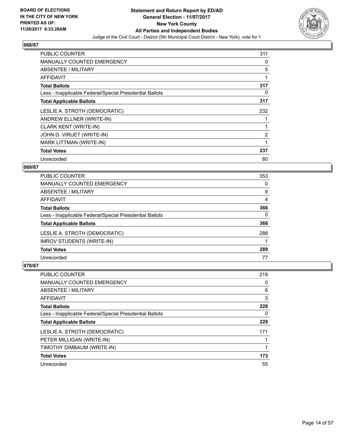

| <b>PUBLIC COUNTER</b>                                    | 311            |
|----------------------------------------------------------|----------------|
| <b>MANUALLY COUNTED EMERGENCY</b>                        | 0              |
| ABSENTEE / MILITARY                                      | 5              |
| AFFIDAVIT                                                | 1              |
| <b>Total Ballots</b>                                     | 317            |
| Less - Inapplicable Federal/Special Presidential Ballots | 0              |
| <b>Total Applicable Ballots</b>                          | 317            |
|                                                          |                |
| LESLIE A. STROTH (DEMOCRATIC)                            | 232            |
| ANDREW ELLNER (WRITE-IN)                                 |                |
| <b>CLARK KENT (WRITE-IN)</b>                             |                |
| JOHN D. VIRUET (WRITE-IN)                                | $\overline{2}$ |
| <b>MARK LITTMAN (WRITE-IN)</b>                           |                |
| <b>Total Votes</b>                                       | 237            |

## **069/67**

| <b>PUBLIC COUNTER</b>                                    | 353 |
|----------------------------------------------------------|-----|
| <b>MANUALLY COUNTED EMERGENCY</b>                        | 0   |
| ABSENTEE / MILITARY                                      | 9   |
| AFFIDAVIT                                                | 4   |
| <b>Total Ballots</b>                                     | 366 |
| Less - Inapplicable Federal/Special Presidential Ballots | 0   |
| <b>Total Applicable Ballots</b>                          | 366 |
| LESLIE A. STROTH (DEMOCRATIC)                            | 288 |
| <b>IMROV STUDENTS (WRITE-IN)</b>                         |     |
| <b>Total Votes</b>                                       | 289 |
| Unrecorded                                               | 77  |

| <b>PUBLIC COUNTER</b>                                    | 219 |
|----------------------------------------------------------|-----|
| <b>MANUALLY COUNTED EMERGENCY</b>                        | 0   |
| ABSENTEE / MILITARY                                      | 6   |
| AFFIDAVIT                                                | 3   |
| <b>Total Ballots</b>                                     | 228 |
| Less - Inapplicable Federal/Special Presidential Ballots | 0   |
| <b>Total Applicable Ballots</b>                          | 228 |
|                                                          |     |
| LESLIE A. STROTH (DEMOCRATIC)                            | 171 |
| PETER MILLIGAN (WRITE-IN)                                |     |
| TIMOTHY DIMBAUM (WRITE-IN)                               |     |
| <b>Total Votes</b>                                       | 173 |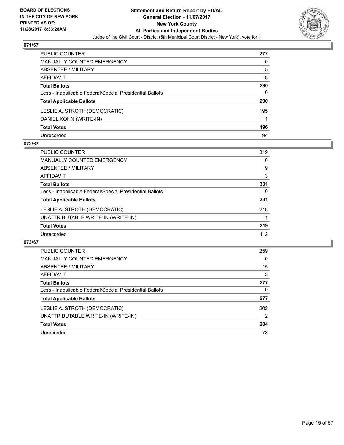

| PUBLIC COUNTER                                           | 277 |
|----------------------------------------------------------|-----|
| <b>MANUALLY COUNTED EMERGENCY</b>                        | 0   |
| <b>ABSENTEE / MILITARY</b>                               | 5   |
| <b>AFFIDAVIT</b>                                         | 8   |
| <b>Total Ballots</b>                                     | 290 |
| Less - Inapplicable Federal/Special Presidential Ballots | 0   |
| <b>Total Applicable Ballots</b>                          | 290 |
| LESLIE A. STROTH (DEMOCRATIC)                            | 195 |
| DANIEL KOHN (WRITE-IN)                                   |     |
| <b>Total Votes</b>                                       | 196 |
| Unrecorded                                               | 94  |

#### **072/67**

| <b>PUBLIC COUNTER</b>                                    | 319 |
|----------------------------------------------------------|-----|
| <b>MANUALLY COUNTED EMERGENCY</b>                        | 0   |
| ABSENTEE / MILITARY                                      | 9   |
| AFFIDAVIT                                                | 3   |
| <b>Total Ballots</b>                                     | 331 |
| Less - Inapplicable Federal/Special Presidential Ballots | 0   |
| <b>Total Applicable Ballots</b>                          | 331 |
| LESLIE A. STROTH (DEMOCRATIC)                            | 218 |
| UNATTRIBUTABLE WRITE-IN (WRITE-IN)                       |     |
| <b>Total Votes</b>                                       | 219 |
| Unrecorded                                               | 112 |

| <b>PUBLIC COUNTER</b>                                    | 259 |
|----------------------------------------------------------|-----|
| <b>MANUALLY COUNTED EMERGENCY</b>                        | 0   |
| ABSENTEE / MILITARY                                      | 15  |
| AFFIDAVIT                                                | 3   |
| <b>Total Ballots</b>                                     | 277 |
| Less - Inapplicable Federal/Special Presidential Ballots | 0   |
| <b>Total Applicable Ballots</b>                          | 277 |
| LESLIE A. STROTH (DEMOCRATIC)                            | 202 |
| UNATTRIBUTABLE WRITE-IN (WRITE-IN)                       | 2   |
| <b>Total Votes</b>                                       | 204 |
| Unrecorded                                               | 73  |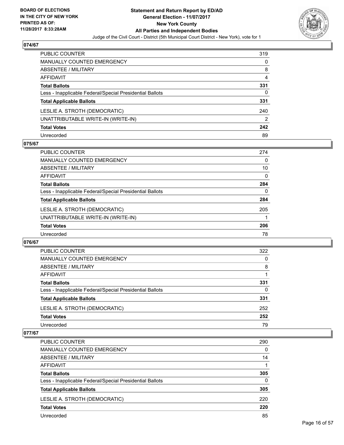

| PUBLIC COUNTER                                           | 319 |
|----------------------------------------------------------|-----|
| <b>MANUALLY COUNTED EMERGENCY</b>                        | 0   |
| ABSENTEE / MILITARY                                      | 8   |
| AFFIDAVIT                                                | 4   |
| <b>Total Ballots</b>                                     | 331 |
| Less - Inapplicable Federal/Special Presidential Ballots | 0   |
| <b>Total Applicable Ballots</b>                          | 331 |
| LESLIE A. STROTH (DEMOCRATIC)                            | 240 |
| UNATTRIBUTABLE WRITE-IN (WRITE-IN)                       | 2   |
| <b>Total Votes</b>                                       | 242 |
| Unrecorded                                               | 89  |

## **075/67**

| <b>PUBLIC COUNTER</b>                                    | 274      |
|----------------------------------------------------------|----------|
| MANUALLY COUNTED EMERGENCY                               | 0        |
| ABSENTEE / MILITARY                                      | 10       |
| AFFIDAVIT                                                | $\Omega$ |
| <b>Total Ballots</b>                                     | 284      |
| Less - Inapplicable Federal/Special Presidential Ballots | 0        |
| <b>Total Applicable Ballots</b>                          | 284      |
| LESLIE A. STROTH (DEMOCRATIC)                            | 205      |
| UNATTRIBUTABLE WRITE-IN (WRITE-IN)                       |          |
| <b>Total Votes</b>                                       | 206      |
| Unrecorded                                               | 78       |

#### **076/67**

| PUBLIC COUNTER                                           | 322 |
|----------------------------------------------------------|-----|
| <b>MANUALLY COUNTED EMERGENCY</b>                        | 0   |
| ABSENTEE / MILITARY                                      | 8   |
| AFFIDAVIT                                                |     |
| <b>Total Ballots</b>                                     | 331 |
| Less - Inapplicable Federal/Special Presidential Ballots | 0   |
| <b>Total Applicable Ballots</b>                          | 331 |
| LESLIE A. STROTH (DEMOCRATIC)                            | 252 |
| <b>Total Votes</b>                                       | 252 |
| Unrecorded                                               | 79  |
|                                                          |     |

| <b>PUBLIC COUNTER</b>                                    | 290 |
|----------------------------------------------------------|-----|
| MANUALLY COUNTED EMERGENCY                               | 0   |
| ABSENTEE / MILITARY                                      | 14  |
| AFFIDAVIT                                                |     |
| <b>Total Ballots</b>                                     | 305 |
| Less - Inapplicable Federal/Special Presidential Ballots | 0   |
| <b>Total Applicable Ballots</b>                          | 305 |
| LESLIE A. STROTH (DEMOCRATIC)                            | 220 |
| <b>Total Votes</b>                                       | 220 |
| Unrecorded                                               | 85  |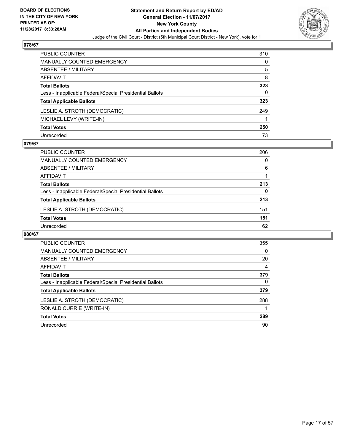

| <b>PUBLIC COUNTER</b>                                    | 310 |
|----------------------------------------------------------|-----|
| <b>MANUALLY COUNTED EMERGENCY</b>                        | 0   |
| <b>ABSENTEE / MILITARY</b>                               | 5   |
| <b>AFFIDAVIT</b>                                         | 8   |
| <b>Total Ballots</b>                                     | 323 |
| Less - Inapplicable Federal/Special Presidential Ballots | 0   |
| <b>Total Applicable Ballots</b>                          | 323 |
| LESLIE A. STROTH (DEMOCRATIC)                            | 249 |
| MICHAEL LEVY (WRITE-IN)                                  |     |
| <b>Total Votes</b>                                       | 250 |
| Unrecorded                                               | 73  |

#### **079/67**

| <b>PUBLIC COUNTER</b>                                    | 206      |
|----------------------------------------------------------|----------|
| <b>MANUALLY COUNTED EMERGENCY</b>                        | 0        |
| ABSENTEE / MILITARY                                      | 6        |
| AFFIDAVIT                                                |          |
| <b>Total Ballots</b>                                     | 213      |
| Less - Inapplicable Federal/Special Presidential Ballots | $\Omega$ |
| <b>Total Applicable Ballots</b>                          | 213      |
| LESLIE A. STROTH (DEMOCRATIC)                            | 151      |
| <b>Total Votes</b>                                       | 151      |
| Unrecorded                                               | 62       |

| PUBLIC COUNTER                                           | 355 |
|----------------------------------------------------------|-----|
| <b>MANUALLY COUNTED EMERGENCY</b>                        | 0   |
| ABSENTEE / MILITARY                                      | 20  |
| AFFIDAVIT                                                | 4   |
| <b>Total Ballots</b>                                     | 379 |
| Less - Inapplicable Federal/Special Presidential Ballots | 0   |
| <b>Total Applicable Ballots</b>                          | 379 |
| LESLIE A. STROTH (DEMOCRATIC)                            | 288 |
| RONALD CURRIE (WRITE-IN)                                 |     |
| <b>Total Votes</b>                                       | 289 |
| Unrecorded                                               | 90  |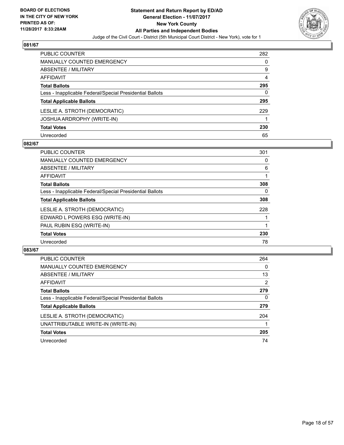

| <b>PUBLIC COUNTER</b>                                    | 282 |
|----------------------------------------------------------|-----|
| <b>MANUALLY COUNTED EMERGENCY</b>                        | 0   |
| ABSENTEE / MILITARY                                      | 9   |
| AFFIDAVIT                                                | 4   |
| <b>Total Ballots</b>                                     | 295 |
| Less - Inapplicable Federal/Special Presidential Ballots | 0   |
| <b>Total Applicable Ballots</b>                          | 295 |
| LESLIE A. STROTH (DEMOCRATIC)                            | 229 |
| JOSHUA ARDROPHY (WRITE-IN)                               |     |
| <b>Total Votes</b>                                       | 230 |
| Unrecorded                                               | 65  |

## **082/67**

| <b>PUBLIC COUNTER</b>                                    | 301 |
|----------------------------------------------------------|-----|
| <b>MANUALLY COUNTED EMERGENCY</b>                        | 0   |
| <b>ABSENTEE / MILITARY</b>                               | 6   |
| <b>AFFIDAVIT</b>                                         |     |
| <b>Total Ballots</b>                                     | 308 |
| Less - Inapplicable Federal/Special Presidential Ballots | 0   |
| <b>Total Applicable Ballots</b>                          | 308 |
| LESLIE A. STROTH (DEMOCRATIC)                            | 228 |
| EDWARD L POWERS ESQ (WRITE-IN)                           |     |
| PAUL RUBIN ESQ (WRITE-IN)                                |     |
| <b>Total Votes</b>                                       | 230 |
| Unrecorded                                               | 78  |

| <b>PUBLIC COUNTER</b>                                    | 264 |
|----------------------------------------------------------|-----|
| MANUALLY COUNTED EMERGENCY                               | 0   |
| ABSENTEE / MILITARY                                      | 13  |
| AFFIDAVIT                                                | 2   |
| <b>Total Ballots</b>                                     | 279 |
| Less - Inapplicable Federal/Special Presidential Ballots | 0   |
| <b>Total Applicable Ballots</b>                          | 279 |
| LESLIE A. STROTH (DEMOCRATIC)                            | 204 |
| UNATTRIBUTABLE WRITE-IN (WRITE-IN)                       |     |
| <b>Total Votes</b>                                       | 205 |
| Unrecorded                                               | 74  |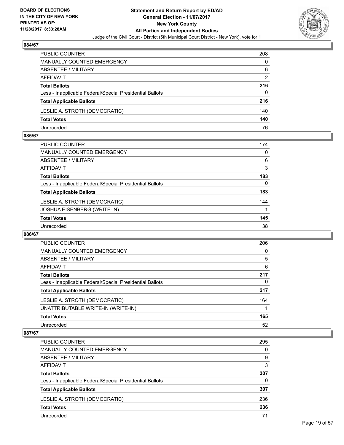

| <b>PUBLIC COUNTER</b>                                    | 208 |
|----------------------------------------------------------|-----|
| <b>MANUALLY COUNTED EMERGENCY</b>                        | 0   |
| ABSENTEE / MILITARY                                      | 6   |
| AFFIDAVIT                                                | 2   |
| <b>Total Ballots</b>                                     | 216 |
| Less - Inapplicable Federal/Special Presidential Ballots | 0   |
| <b>Total Applicable Ballots</b>                          | 216 |
| LESLIE A. STROTH (DEMOCRATIC)                            | 140 |
| <b>Total Votes</b>                                       | 140 |
| Unrecorded                                               | 76  |

#### **085/67**

| PUBLIC COUNTER                                           | 174 |
|----------------------------------------------------------|-----|
| MANUALLY COUNTED EMERGENCY                               | 0   |
| ABSENTEE / MILITARY                                      | 6   |
| AFFIDAVIT                                                | 3   |
| <b>Total Ballots</b>                                     | 183 |
| Less - Inapplicable Federal/Special Presidential Ballots | 0   |
| <b>Total Applicable Ballots</b>                          | 183 |
| LESLIE A. STROTH (DEMOCRATIC)                            | 144 |
| JOSHUA EISENBERG (WRITE-IN)                              |     |
| <b>Total Votes</b>                                       | 145 |
| Unrecorded                                               | 38  |
|                                                          |     |

## **086/67**

| <b>PUBLIC COUNTER</b>                                    | 206 |
|----------------------------------------------------------|-----|
| <b>MANUALLY COUNTED EMERGENCY</b>                        | 0   |
| ABSENTEE / MILITARY                                      | 5   |
| AFFIDAVIT                                                | 6   |
| <b>Total Ballots</b>                                     | 217 |
| Less - Inapplicable Federal/Special Presidential Ballots | 0   |
| <b>Total Applicable Ballots</b>                          | 217 |
| LESLIE A. STROTH (DEMOCRATIC)                            | 164 |
| UNATTRIBUTABLE WRITE-IN (WRITE-IN)                       |     |
| <b>Total Votes</b>                                       | 165 |
| Unrecorded                                               | 52  |

| <b>PUBLIC COUNTER</b>                                    | 295 |
|----------------------------------------------------------|-----|
| MANUALLY COUNTED EMERGENCY                               | 0   |
| ABSENTEE / MILITARY                                      | 9   |
| AFFIDAVIT                                                | 3   |
| <b>Total Ballots</b>                                     | 307 |
| Less - Inapplicable Federal/Special Presidential Ballots | 0   |
| <b>Total Applicable Ballots</b>                          | 307 |
| LESLIE A. STROTH (DEMOCRATIC)                            | 236 |
| <b>Total Votes</b>                                       | 236 |
| Unrecorded                                               | 71  |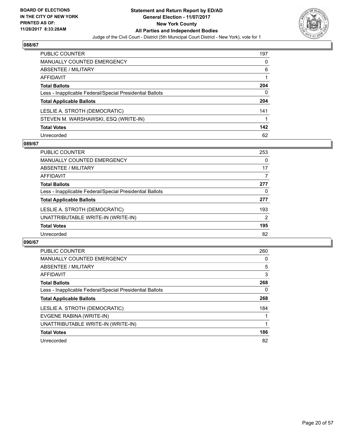

| PUBLIC COUNTER                                           | 197 |
|----------------------------------------------------------|-----|
| <b>MANUALLY COUNTED EMERGENCY</b>                        | 0   |
| ABSENTEE / MILITARY                                      | 6   |
| AFFIDAVIT                                                |     |
| <b>Total Ballots</b>                                     | 204 |
| Less - Inapplicable Federal/Special Presidential Ballots | 0   |
| <b>Total Applicable Ballots</b>                          | 204 |
| LESLIE A. STROTH (DEMOCRATIC)                            | 141 |
| STEVEN M. WARSHAWSKI, ESQ (WRITE-IN)                     |     |
| <b>Total Votes</b>                                       | 142 |
| Unrecorded                                               | 62  |

## **089/67**

| <b>PUBLIC COUNTER</b>                                    | 253 |
|----------------------------------------------------------|-----|
| <b>MANUALLY COUNTED EMERGENCY</b>                        | 0   |
| ABSENTEE / MILITARY                                      | 17  |
| AFFIDAVIT                                                | 7   |
| <b>Total Ballots</b>                                     | 277 |
| Less - Inapplicable Federal/Special Presidential Ballots | 0   |
| <b>Total Applicable Ballots</b>                          | 277 |
| LESLIE A. STROTH (DEMOCRATIC)                            | 193 |
| UNATTRIBUTABLE WRITE-IN (WRITE-IN)                       | 2   |
| <b>Total Votes</b>                                       | 195 |
| Unrecorded                                               | 82  |

| <b>PUBLIC COUNTER</b>                                    | 260 |
|----------------------------------------------------------|-----|
| <b>MANUALLY COUNTED EMERGENCY</b>                        | 0   |
| ABSENTEE / MILITARY                                      | 5   |
| AFFIDAVIT                                                | 3   |
| <b>Total Ballots</b>                                     | 268 |
| Less - Inapplicable Federal/Special Presidential Ballots | 0   |
| <b>Total Applicable Ballots</b>                          | 268 |
| LESLIE A. STROTH (DEMOCRATIC)                            | 184 |
| EVGENE RABINA (WRITE-IN)                                 |     |
| UNATTRIBUTABLE WRITE-IN (WRITE-IN)                       |     |
| <b>Total Votes</b>                                       | 186 |
| Unrecorded                                               | 82  |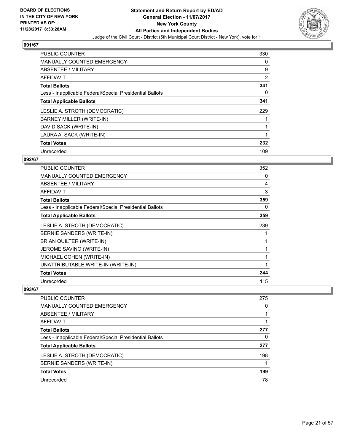

| <b>PUBLIC COUNTER</b>                                    | 330            |
|----------------------------------------------------------|----------------|
| <b>MANUALLY COUNTED EMERGENCY</b>                        | 0              |
| ABSENTEE / MILITARY                                      | 9              |
| <b>AFFIDAVIT</b>                                         | $\overline{2}$ |
| <b>Total Ballots</b>                                     | 341            |
| Less - Inapplicable Federal/Special Presidential Ballots | 0              |
| <b>Total Applicable Ballots</b>                          | 341            |
| LESLIE A. STROTH (DEMOCRATIC)                            | 229            |
| BARNEY MILLER (WRITE-IN)                                 |                |
| DAVID SACK (WRITE-IN)                                    |                |
| LAURA A. SACK (WRITE-IN)                                 |                |
| <b>Total Votes</b>                                       | 232            |
| Unrecorded                                               | 109            |

## **092/67**

| PUBLIC COUNTER                                           | 352 |
|----------------------------------------------------------|-----|
| <b>MANUALLY COUNTED EMERGENCY</b>                        | 0   |
| <b>ABSENTEE / MILITARY</b>                               | 4   |
| <b>AFFIDAVIT</b>                                         | 3   |
| <b>Total Ballots</b>                                     | 359 |
| Less - Inapplicable Federal/Special Presidential Ballots | 0   |
| <b>Total Applicable Ballots</b>                          | 359 |
| LESLIE A. STROTH (DEMOCRATIC)                            | 239 |
| BERNIE SANDERS (WRITE-IN)                                |     |
| BRIAN QUILTER (WRITE-IN)                                 |     |
| JEROME SAVINO (WRITE-IN)                                 |     |
| MICHAEL COHEN (WRITE-IN)                                 | 1   |
| UNATTRIBUTABLE WRITE-IN (WRITE-IN)                       | 1   |
| <b>Total Votes</b>                                       | 244 |
| Unrecorded                                               | 115 |

| PUBLIC COUNTER                                           | 275 |
|----------------------------------------------------------|-----|
| MANUALLY COUNTED EMERGENCY                               | 0   |
| ABSENTEE / MILITARY                                      |     |
| AFFIDAVIT                                                |     |
| <b>Total Ballots</b>                                     | 277 |
| Less - Inapplicable Federal/Special Presidential Ballots | 0   |
| <b>Total Applicable Ballots</b>                          | 277 |
| LESLIE A. STROTH (DEMOCRATIC)                            | 198 |
| BERNIE SANDERS (WRITE-IN)                                |     |
| <b>Total Votes</b>                                       | 199 |
| Unrecorded                                               | 78  |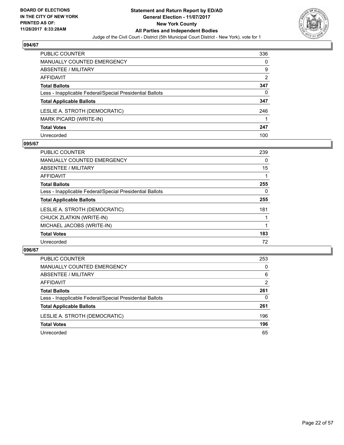

| PUBLIC COUNTER                                           | 336 |
|----------------------------------------------------------|-----|
| <b>MANUALLY COUNTED EMERGENCY</b>                        | 0   |
| <b>ABSENTEE / MILITARY</b>                               | 9   |
| <b>AFFIDAVIT</b>                                         | 2   |
| <b>Total Ballots</b>                                     | 347 |
| Less - Inapplicable Federal/Special Presidential Ballots | 0   |
| <b>Total Applicable Ballots</b>                          | 347 |
| LESLIE A. STROTH (DEMOCRATIC)                            | 246 |
| MARK PICARD (WRITE-IN)                                   |     |
| <b>Total Votes</b>                                       | 247 |
| Unrecorded                                               | 100 |

## **095/67**

| <b>PUBLIC COUNTER</b>                                    | 239 |
|----------------------------------------------------------|-----|
| <b>MANUALLY COUNTED EMERGENCY</b>                        | 0   |
| ABSENTEE / MILITARY                                      | 15  |
| AFFIDAVIT                                                |     |
| <b>Total Ballots</b>                                     | 255 |
| Less - Inapplicable Federal/Special Presidential Ballots | 0   |
| <b>Total Applicable Ballots</b>                          | 255 |
| LESLIE A. STROTH (DEMOCRATIC)                            | 181 |
| CHUCK ZLATKIN (WRITE-IN)                                 |     |
| MICHAEL JACOBS (WRITE-IN)                                |     |
| <b>Total Votes</b>                                       | 183 |
| Unrecorded                                               | 72  |

| PUBLIC COUNTER                                           | 253            |
|----------------------------------------------------------|----------------|
| <b>MANUALLY COUNTED EMERGENCY</b>                        | 0              |
| ABSENTEE / MILITARY                                      | 6              |
| AFFIDAVIT                                                | $\overline{2}$ |
| <b>Total Ballots</b>                                     | 261            |
| Less - Inapplicable Federal/Special Presidential Ballots | $\Omega$       |
| <b>Total Applicable Ballots</b>                          | 261            |
| LESLIE A. STROTH (DEMOCRATIC)                            | 196            |
| <b>Total Votes</b>                                       | 196            |
| Unrecorded                                               | 65             |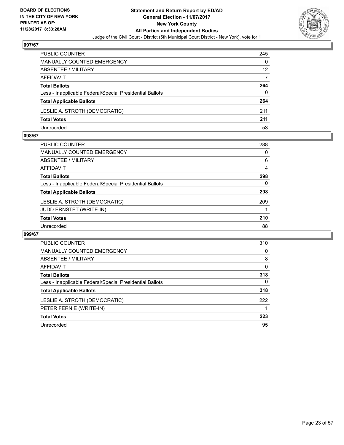

| <b>PUBLIC COUNTER</b>                                    | 245 |
|----------------------------------------------------------|-----|
| MANUALLY COUNTED EMERGENCY                               | 0   |
| ABSENTEE / MILITARY                                      | 12  |
| AFFIDAVIT                                                | 7   |
| <b>Total Ballots</b>                                     | 264 |
| Less - Inapplicable Federal/Special Presidential Ballots | 0   |
| <b>Total Applicable Ballots</b>                          | 264 |
| LESLIE A. STROTH (DEMOCRATIC)                            | 211 |
| <b>Total Votes</b>                                       | 211 |
| Unrecorded                                               | 53  |

#### **098/67**

| PUBLIC COUNTER                                           | 288 |
|----------------------------------------------------------|-----|
| <b>MANUALLY COUNTED EMERGENCY</b>                        | 0   |
| ABSENTEE / MILITARY                                      | 6   |
| AFFIDAVIT                                                | 4   |
| <b>Total Ballots</b>                                     | 298 |
| Less - Inapplicable Federal/Special Presidential Ballots | 0   |
| <b>Total Applicable Ballots</b>                          | 298 |
| LESLIE A. STROTH (DEMOCRATIC)                            | 209 |
| <b>JUDD ERNSTET (WRITE-IN)</b>                           |     |
| <b>Total Votes</b>                                       | 210 |
| Unrecorded                                               | 88  |
|                                                          |     |

| <b>PUBLIC COUNTER</b>                                    | 310 |
|----------------------------------------------------------|-----|
| <b>MANUALLY COUNTED EMERGENCY</b>                        | 0   |
| ABSENTEE / MILITARY                                      | 8   |
| <b>AFFIDAVIT</b>                                         | 0   |
| <b>Total Ballots</b>                                     | 318 |
| Less - Inapplicable Federal/Special Presidential Ballots | 0   |
| <b>Total Applicable Ballots</b>                          | 318 |
| LESLIE A. STROTH (DEMOCRATIC)                            | 222 |
| PETER FERNIE (WRITE-IN)                                  |     |
| <b>Total Votes</b>                                       | 223 |
| Unrecorded                                               | 95  |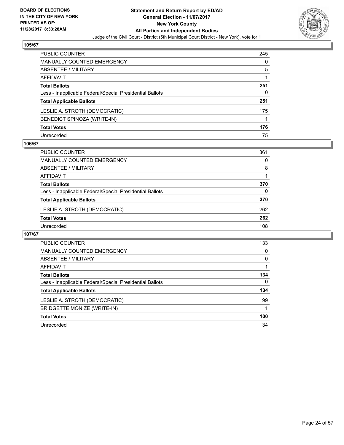

| <b>PUBLIC COUNTER</b>                                    | 245 |
|----------------------------------------------------------|-----|
| <b>MANUALLY COUNTED EMERGENCY</b>                        | 0   |
| ABSENTEE / MILITARY                                      | 5   |
| AFFIDAVIT                                                |     |
| <b>Total Ballots</b>                                     | 251 |
| Less - Inapplicable Federal/Special Presidential Ballots | 0   |
| <b>Total Applicable Ballots</b>                          | 251 |
| LESLIE A. STROTH (DEMOCRATIC)                            | 175 |
| BENEDICT SPINOZA (WRITE-IN)                              |     |
| <b>Total Votes</b>                                       | 176 |
| Unrecorded                                               | 75  |

## **106/67**

| <b>PUBLIC COUNTER</b>                                    | 361      |
|----------------------------------------------------------|----------|
| <b>MANUALLY COUNTED EMERGENCY</b>                        | 0        |
| ABSENTEE / MILITARY                                      | 8        |
| AFFIDAVIT                                                |          |
| <b>Total Ballots</b>                                     | 370      |
| Less - Inapplicable Federal/Special Presidential Ballots | $\Omega$ |
| <b>Total Applicable Ballots</b>                          | 370      |
| LESLIE A. STROTH (DEMOCRATIC)                            | 262      |
| <b>Total Votes</b>                                       | 262      |
| Unrecorded                                               | 108      |

| <b>PUBLIC COUNTER</b>                                    | 133 |
|----------------------------------------------------------|-----|
| <b>MANUALLY COUNTED EMERGENCY</b>                        | 0   |
| ABSENTEE / MILITARY                                      | 0   |
| <b>AFFIDAVIT</b>                                         |     |
| <b>Total Ballots</b>                                     | 134 |
| Less - Inapplicable Federal/Special Presidential Ballots | 0   |
| <b>Total Applicable Ballots</b>                          | 134 |
| LESLIE A. STROTH (DEMOCRATIC)                            | 99  |
| <b>BRIDGETTE MONIZE (WRITE-IN)</b>                       |     |
| <b>Total Votes</b>                                       | 100 |
| Unrecorded                                               | 34  |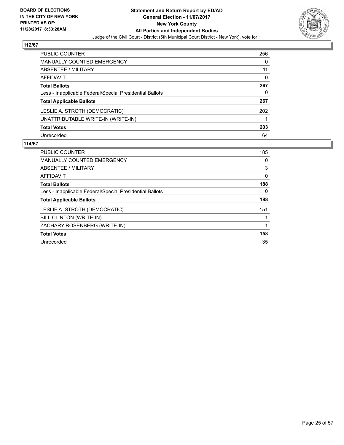

| PUBLIC COUNTER                                           | 256 |
|----------------------------------------------------------|-----|
| <b>MANUALLY COUNTED EMERGENCY</b>                        | 0   |
| ABSENTEE / MILITARY                                      | 11  |
| AFFIDAVIT                                                | 0   |
| <b>Total Ballots</b>                                     | 267 |
| Less - Inapplicable Federal/Special Presidential Ballots | 0   |
| <b>Total Applicable Ballots</b>                          | 267 |
| LESLIE A. STROTH (DEMOCRATIC)                            | 202 |
| UNATTRIBUTABLE WRITE-IN (WRITE-IN)                       |     |
| <b>Total Votes</b>                                       | 203 |
| Unrecorded                                               | 64  |

| PUBLIC COUNTER                                           | 185 |
|----------------------------------------------------------|-----|
| <b>MANUALLY COUNTED EMERGENCY</b>                        | 0   |
| ABSENTEE / MILITARY                                      | 3   |
| AFFIDAVIT                                                | 0   |
| <b>Total Ballots</b>                                     | 188 |
| Less - Inapplicable Federal/Special Presidential Ballots | 0   |
| <b>Total Applicable Ballots</b>                          | 188 |
| LESLIE A. STROTH (DEMOCRATIC)                            | 151 |
| BILL CLINTON (WRITE-IN)                                  |     |
| ZACHARY ROSENBERG (WRITE-IN)                             |     |
| <b>Total Votes</b>                                       | 153 |
| Unrecorded                                               | 35  |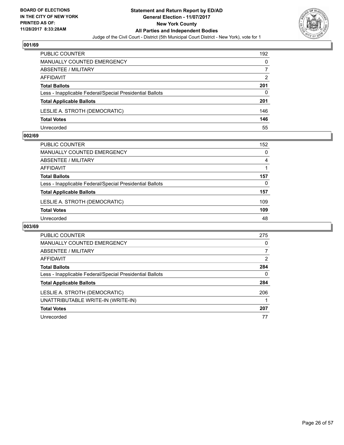

| PUBLIC COUNTER                                           | 192 |
|----------------------------------------------------------|-----|
| <b>MANUALLY COUNTED EMERGENCY</b>                        | 0   |
| ABSENTEE / MILITARY                                      |     |
| AFFIDAVIT                                                | 2   |
| <b>Total Ballots</b>                                     | 201 |
| Less - Inapplicable Federal/Special Presidential Ballots | 0   |
| <b>Total Applicable Ballots</b>                          | 201 |
| LESLIE A. STROTH (DEMOCRATIC)                            | 146 |
| <b>Total Votes</b>                                       | 146 |
| Unrecorded                                               | 55  |

#### **002/69**

| <b>PUBLIC COUNTER</b>                                    | 152 |
|----------------------------------------------------------|-----|
| MANUALLY COUNTED EMERGENCY                               | 0   |
| ABSENTEE / MILITARY                                      | 4   |
| AFFIDAVIT                                                |     |
| <b>Total Ballots</b>                                     | 157 |
| Less - Inapplicable Federal/Special Presidential Ballots | 0   |
| <b>Total Applicable Ballots</b>                          | 157 |
| LESLIE A. STROTH (DEMOCRATIC)                            | 109 |
| <b>Total Votes</b>                                       | 109 |
| Unrecorded                                               | 48  |
|                                                          |     |

| <b>PUBLIC COUNTER</b>                                    | 275 |
|----------------------------------------------------------|-----|
| <b>MANUALLY COUNTED EMERGENCY</b>                        | 0   |
| ABSENTEE / MILITARY                                      | 7   |
| <b>AFFIDAVIT</b>                                         | 2   |
| <b>Total Ballots</b>                                     | 284 |
| Less - Inapplicable Federal/Special Presidential Ballots | 0   |
| <b>Total Applicable Ballots</b>                          | 284 |
| LESLIE A. STROTH (DEMOCRATIC)                            | 206 |
| UNATTRIBUTABLE WRITE-IN (WRITE-IN)                       |     |
| <b>Total Votes</b>                                       | 207 |
| Unrecorded                                               | 77  |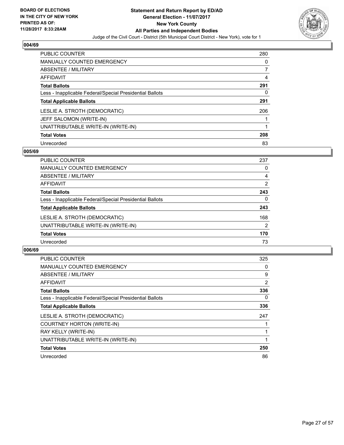

| <b>PUBLIC COUNTER</b>                                    | 280 |
|----------------------------------------------------------|-----|
| <b>MANUALLY COUNTED EMERGENCY</b>                        | 0   |
| ABSENTEE / MILITARY                                      | 7   |
| AFFIDAVIT                                                | 4   |
| <b>Total Ballots</b>                                     | 291 |
| Less - Inapplicable Federal/Special Presidential Ballots | 0   |
| <b>Total Applicable Ballots</b>                          | 291 |
| LESLIE A. STROTH (DEMOCRATIC)                            | 206 |
| JEFF SALOMON (WRITE-IN)                                  |     |
| UNATTRIBUTABLE WRITE-IN (WRITE-IN)                       |     |
| <b>Total Votes</b>                                       | 208 |
| Unrecorded                                               | 83  |

#### **005/69**

| <b>PUBLIC COUNTER</b>                                    | 237 |
|----------------------------------------------------------|-----|
| <b>MANUALLY COUNTED EMERGENCY</b>                        | 0   |
| ABSENTEE / MILITARY                                      | 4   |
| <b>AFFIDAVIT</b>                                         | 2   |
| <b>Total Ballots</b>                                     | 243 |
| Less - Inapplicable Federal/Special Presidential Ballots | 0   |
| <b>Total Applicable Ballots</b>                          | 243 |
| LESLIE A. STROTH (DEMOCRATIC)                            | 168 |
| UNATTRIBUTABLE WRITE-IN (WRITE-IN)                       | 2   |
| <b>Total Votes</b>                                       | 170 |
| Unrecorded                                               | 73  |

| <b>PUBLIC COUNTER</b>                                    | 325 |
|----------------------------------------------------------|-----|
| <b>MANUALLY COUNTED EMERGENCY</b>                        | 0   |
| ABSENTEE / MILITARY                                      | 9   |
| AFFIDAVIT                                                | 2   |
| <b>Total Ballots</b>                                     | 336 |
| Less - Inapplicable Federal/Special Presidential Ballots | 0   |
| <b>Total Applicable Ballots</b>                          | 336 |
| LESLIE A. STROTH (DEMOCRATIC)                            | 247 |
| COURTNEY HORTON (WRITE-IN)                               |     |
| RAY KELLY (WRITE-IN)                                     |     |
| UNATTRIBUTABLE WRITE-IN (WRITE-IN)                       |     |
| <b>Total Votes</b>                                       | 250 |
| Unrecorded                                               | 86  |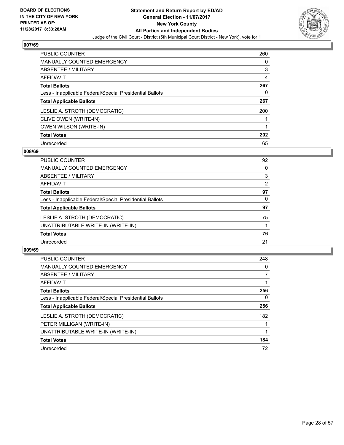

| <b>PUBLIC COUNTER</b>                                    | 260 |
|----------------------------------------------------------|-----|
| <b>MANUALLY COUNTED EMERGENCY</b>                        | 0   |
| ABSENTEE / MILITARY                                      | 3   |
| AFFIDAVIT                                                | 4   |
| <b>Total Ballots</b>                                     | 267 |
| Less - Inapplicable Federal/Special Presidential Ballots | 0   |
| <b>Total Applicable Ballots</b>                          | 267 |
| LESLIE A. STROTH (DEMOCRATIC)                            | 200 |
| CLIVE OWEN (WRITE-IN)                                    |     |
| <b>OWEN WILSON (WRITE-IN)</b>                            |     |
| <b>Total Votes</b>                                       | 202 |
| Unrecorded                                               | 65  |

#### **008/69**

| <b>PUBLIC COUNTER</b>                                    | 92 |
|----------------------------------------------------------|----|
| MANUALLY COUNTED EMERGENCY                               | 0  |
| ABSENTEE / MILITARY                                      | 3  |
| AFFIDAVIT                                                | 2  |
| <b>Total Ballots</b>                                     | 97 |
| Less - Inapplicable Federal/Special Presidential Ballots | 0  |
| <b>Total Applicable Ballots</b>                          | 97 |
| LESLIE A. STROTH (DEMOCRATIC)                            | 75 |
| UNATTRIBUTABLE WRITE-IN (WRITE-IN)                       |    |
| <b>Total Votes</b>                                       | 76 |
| Unrecorded                                               | 21 |

| <b>PUBLIC COUNTER</b>                                    | 248      |
|----------------------------------------------------------|----------|
| <b>MANUALLY COUNTED EMERGENCY</b>                        | 0        |
| ABSENTEE / MILITARY                                      | 7        |
| AFFIDAVIT                                                |          |
| <b>Total Ballots</b>                                     | 256      |
| Less - Inapplicable Federal/Special Presidential Ballots | $\Omega$ |
| <b>Total Applicable Ballots</b>                          | 256      |
| LESLIE A. STROTH (DEMOCRATIC)                            | 182      |
| PETER MILLIGAN (WRITE-IN)                                |          |
| UNATTRIBUTABLE WRITE-IN (WRITE-IN)                       |          |
| <b>Total Votes</b>                                       | 184      |
| Unrecorded                                               | 72       |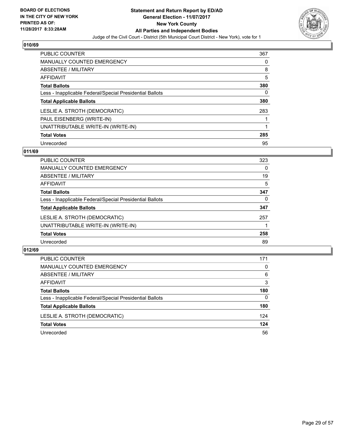

| <b>PUBLIC COUNTER</b>                                    | 367 |
|----------------------------------------------------------|-----|
| <b>MANUALLY COUNTED EMERGENCY</b>                        | 0   |
| ABSENTEE / MILITARY                                      | 8   |
| AFFIDAVIT                                                | 5   |
| <b>Total Ballots</b>                                     | 380 |
| Less - Inapplicable Federal/Special Presidential Ballots | 0   |
| <b>Total Applicable Ballots</b>                          | 380 |
| LESLIE A. STROTH (DEMOCRATIC)                            | 283 |
| PAUL EISENBERG (WRITE-IN)                                |     |
| UNATTRIBUTABLE WRITE-IN (WRITE-IN)                       |     |
| <b>Total Votes</b>                                       | 285 |
| Unrecorded                                               | 95  |

#### **011/69**

| <b>PUBLIC COUNTER</b>                                    | 323 |
|----------------------------------------------------------|-----|
| <b>MANUALLY COUNTED EMERGENCY</b>                        | 0   |
| ABSENTEE / MILITARY                                      | 19  |
| AFFIDAVIT                                                | 5   |
| <b>Total Ballots</b>                                     | 347 |
| Less - Inapplicable Federal/Special Presidential Ballots | 0   |
| <b>Total Applicable Ballots</b>                          | 347 |
| LESLIE A. STROTH (DEMOCRATIC)                            | 257 |
| UNATTRIBUTABLE WRITE-IN (WRITE-IN)                       |     |
| <b>Total Votes</b>                                       | 258 |
| Unrecorded                                               | 89  |

| PUBLIC COUNTER                                           | 171      |
|----------------------------------------------------------|----------|
| MANUALLY COUNTED EMERGENCY                               | 0        |
| ABSENTEE / MILITARY                                      | 6        |
| AFFIDAVIT                                                | 3        |
| <b>Total Ballots</b>                                     | 180      |
| Less - Inapplicable Federal/Special Presidential Ballots | $\Omega$ |
| <b>Total Applicable Ballots</b>                          | 180      |
| LESLIE A. STROTH (DEMOCRATIC)                            | 124      |
| <b>Total Votes</b>                                       | 124      |
| Unrecorded                                               | 56       |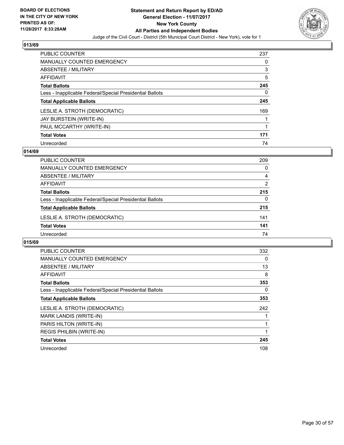

| <b>PUBLIC COUNTER</b>                                    | 237 |
|----------------------------------------------------------|-----|
| <b>MANUALLY COUNTED EMERGENCY</b>                        | 0   |
| ABSENTEE / MILITARY                                      | 3   |
| AFFIDAVIT                                                | 5   |
| <b>Total Ballots</b>                                     | 245 |
| Less - Inapplicable Federal/Special Presidential Ballots | 0   |
| <b>Total Applicable Ballots</b>                          | 245 |
| LESLIE A. STROTH (DEMOCRATIC)                            | 169 |
| JAY BURSTEIN (WRITE-IN)                                  |     |
| PAUL MCCARTHY (WRITE-IN)                                 |     |
| <b>Total Votes</b>                                       | 171 |
| Unrecorded                                               | 74  |

#### **014/69**

| PUBLIC COUNTER                                           | 209            |
|----------------------------------------------------------|----------------|
| <b>MANUALLY COUNTED EMERGENCY</b>                        | 0              |
| ABSENTEE / MILITARY                                      | 4              |
| AFFIDAVIT                                                | $\overline{2}$ |
| <b>Total Ballots</b>                                     | 215            |
| Less - Inapplicable Federal/Special Presidential Ballots | 0              |
| <b>Total Applicable Ballots</b>                          | 215            |
| LESLIE A. STROTH (DEMOCRATIC)                            | 141            |
| <b>Total Votes</b>                                       | 141            |
| Unrecorded                                               | 74             |

| <b>PUBLIC COUNTER</b>                                    | 332 |
|----------------------------------------------------------|-----|
| <b>MANUALLY COUNTED EMERGENCY</b>                        | 0   |
| ABSENTEE / MILITARY                                      | 13  |
| <b>AFFIDAVIT</b>                                         | 8   |
| <b>Total Ballots</b>                                     | 353 |
| Less - Inapplicable Federal/Special Presidential Ballots | 0   |
| <b>Total Applicable Ballots</b>                          | 353 |
| LESLIE A. STROTH (DEMOCRATIC)                            | 242 |
| MARK LANDIS (WRITE-IN)                                   |     |
| PARIS HILTON (WRITE-IN)                                  |     |
| <b>REGIS PHILBIN (WRITE-IN)</b>                          |     |
| <b>Total Votes</b>                                       | 245 |
| Unrecorded                                               | 108 |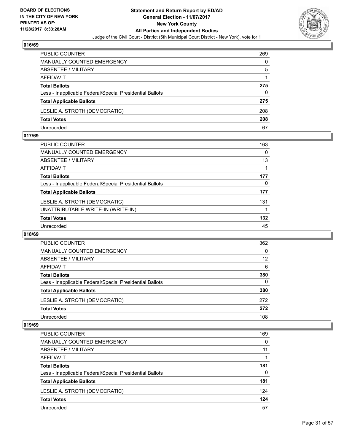

| PUBLIC COUNTER                                           | 269 |
|----------------------------------------------------------|-----|
| <b>MANUALLY COUNTED EMERGENCY</b>                        | 0   |
| ABSENTEE / MILITARY                                      | 5   |
| AFFIDAVIT                                                |     |
| <b>Total Ballots</b>                                     | 275 |
| Less - Inapplicable Federal/Special Presidential Ballots | 0   |
| <b>Total Applicable Ballots</b>                          | 275 |
| LESLIE A. STROTH (DEMOCRATIC)                            | 208 |
| <b>Total Votes</b>                                       | 208 |
| Unrecorded                                               | 67  |

#### **017/69**

| <b>PUBLIC COUNTER</b>                                    | 163 |
|----------------------------------------------------------|-----|
| <b>MANUALLY COUNTED EMERGENCY</b>                        | 0   |
| ABSENTEE / MILITARY                                      | 13  |
| AFFIDAVIT                                                |     |
| <b>Total Ballots</b>                                     | 177 |
| Less - Inapplicable Federal/Special Presidential Ballots | 0   |
| <b>Total Applicable Ballots</b>                          | 177 |
| LESLIE A. STROTH (DEMOCRATIC)                            | 131 |
| UNATTRIBUTABLE WRITE-IN (WRITE-IN)                       |     |
| <b>Total Votes</b>                                       | 132 |
| Unrecorded                                               | 45  |
|                                                          |     |

#### **018/69**

| PUBLIC COUNTER                                           | 362 |
|----------------------------------------------------------|-----|
| <b>MANUALLY COUNTED EMERGENCY</b>                        | 0   |
| ABSENTEE / MILITARY                                      | 12  |
| AFFIDAVIT                                                | 6   |
| <b>Total Ballots</b>                                     | 380 |
| Less - Inapplicable Federal/Special Presidential Ballots | 0   |
| <b>Total Applicable Ballots</b>                          | 380 |
| LESLIE A. STROTH (DEMOCRATIC)                            | 272 |
| <b>Total Votes</b>                                       | 272 |
| Unrecorded                                               | 108 |

| <b>PUBLIC COUNTER</b>                                    | 169 |
|----------------------------------------------------------|-----|
| <b>MANUALLY COUNTED EMERGENCY</b>                        | 0   |
| ABSENTEE / MILITARY                                      | 11  |
| AFFIDAVIT                                                |     |
| <b>Total Ballots</b>                                     | 181 |
| Less - Inapplicable Federal/Special Presidential Ballots | 0   |
| <b>Total Applicable Ballots</b>                          | 181 |
| LESLIE A. STROTH (DEMOCRATIC)                            | 124 |
| <b>Total Votes</b>                                       | 124 |
| Unrecorded                                               | 57  |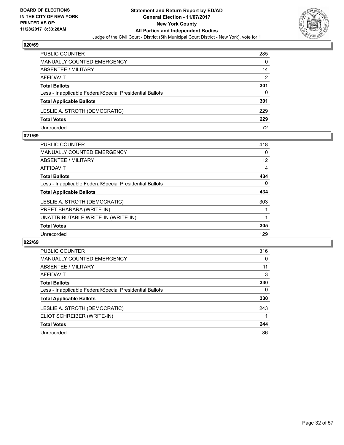

| <b>PUBLIC COUNTER</b>                                    | 285 |
|----------------------------------------------------------|-----|
| <b>MANUALLY COUNTED EMERGENCY</b>                        | 0   |
| ABSENTEE / MILITARY                                      | 14  |
| AFFIDAVIT                                                | 2   |
| <b>Total Ballots</b>                                     | 301 |
| Less - Inapplicable Federal/Special Presidential Ballots | 0   |
| <b>Total Applicable Ballots</b>                          | 301 |
| LESLIE A. STROTH (DEMOCRATIC)                            | 229 |
| <b>Total Votes</b>                                       | 229 |
| Unrecorded                                               | 72  |

#### **021/69**

| <b>PUBLIC COUNTER</b>                                    | 418 |
|----------------------------------------------------------|-----|
| <b>MANUALLY COUNTED EMERGENCY</b>                        | 0   |
| ABSENTEE / MILITARY                                      | 12  |
| AFFIDAVIT                                                | 4   |
| <b>Total Ballots</b>                                     | 434 |
| Less - Inapplicable Federal/Special Presidential Ballots | 0   |
| <b>Total Applicable Ballots</b>                          | 434 |
| LESLIE A. STROTH (DEMOCRATIC)                            | 303 |
| PREET BHARARA (WRITE-IN)                                 |     |
| UNATTRIBUTABLE WRITE-IN (WRITE-IN)                       |     |
| <b>Total Votes</b>                                       | 305 |
| Unrecorded                                               | 129 |
|                                                          |     |

| <b>PUBLIC COUNTER</b>                                    | 316 |
|----------------------------------------------------------|-----|
| MANUALLY COUNTED EMERGENCY                               | 0   |
| ABSENTEE / MILITARY                                      | 11  |
| AFFIDAVIT                                                | 3   |
| <b>Total Ballots</b>                                     | 330 |
| Less - Inapplicable Federal/Special Presidential Ballots | 0   |
| <b>Total Applicable Ballots</b>                          | 330 |
| LESLIE A. STROTH (DEMOCRATIC)                            | 243 |
| ELIOT SCHREIBER (WRITE-IN)                               |     |
| <b>Total Votes</b>                                       | 244 |
| Unrecorded                                               | 86  |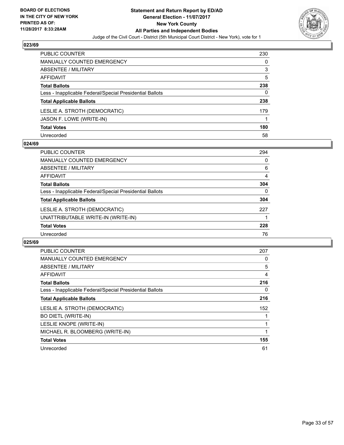

| <b>PUBLIC COUNTER</b>                                    | 230 |
|----------------------------------------------------------|-----|
| <b>MANUALLY COUNTED EMERGENCY</b>                        | 0   |
| ABSENTEE / MILITARY                                      | 3   |
| <b>AFFIDAVIT</b>                                         | 5   |
| <b>Total Ballots</b>                                     | 238 |
| Less - Inapplicable Federal/Special Presidential Ballots | 0   |
| <b>Total Applicable Ballots</b>                          | 238 |
| LESLIE A. STROTH (DEMOCRATIC)                            | 179 |
| JASON F. LOWE (WRITE-IN)                                 |     |
| <b>Total Votes</b>                                       | 180 |
| Unrecorded                                               | 58  |

#### **024/69**

| <b>PUBLIC COUNTER</b>                                    | 294          |
|----------------------------------------------------------|--------------|
| <b>MANUALLY COUNTED EMERGENCY</b>                        | 0            |
| ABSENTEE / MILITARY                                      | 6            |
| AFFIDAVIT                                                | 4            |
| <b>Total Ballots</b>                                     | 304          |
| Less - Inapplicable Federal/Special Presidential Ballots | $\mathbf{0}$ |
| <b>Total Applicable Ballots</b>                          | 304          |
| LESLIE A. STROTH (DEMOCRATIC)                            | 227          |
| UNATTRIBUTABLE WRITE-IN (WRITE-IN)                       |              |
| <b>Total Votes</b>                                       | 228          |
| Unrecorded                                               | 76           |

| <b>PUBLIC COUNTER</b>                                    | 207 |
|----------------------------------------------------------|-----|
| <b>MANUALLY COUNTED EMERGENCY</b>                        | 0   |
| <b>ABSENTEE / MILITARY</b>                               | 5   |
| <b>AFFIDAVIT</b>                                         | 4   |
| <b>Total Ballots</b>                                     | 216 |
| Less - Inapplicable Federal/Special Presidential Ballots | 0   |
| <b>Total Applicable Ballots</b>                          | 216 |
| LESLIE A. STROTH (DEMOCRATIC)                            | 152 |
| <b>BO DIETL (WRITE-IN)</b>                               |     |
| LESLIE KNOPE (WRITE-IN)                                  |     |
| MICHAEL R. BLOOMBERG (WRITE-IN)                          |     |
| <b>Total Votes</b>                                       | 155 |
| Unrecorded                                               | 61  |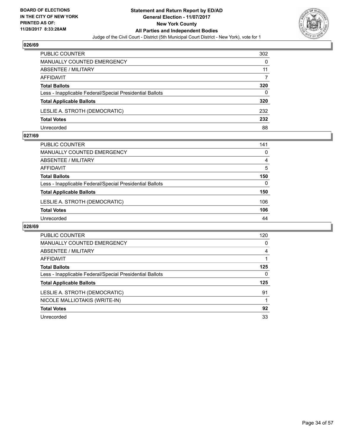

| PUBLIC COUNTER                                           | 302 |
|----------------------------------------------------------|-----|
| <b>MANUALLY COUNTED EMERGENCY</b>                        | 0   |
| <b>ABSENTEE / MILITARY</b>                               | 11  |
| AFFIDAVIT                                                |     |
| <b>Total Ballots</b>                                     | 320 |
| Less - Inapplicable Federal/Special Presidential Ballots | 0   |
| <b>Total Applicable Ballots</b>                          | 320 |
| LESLIE A. STROTH (DEMOCRATIC)                            | 232 |
| <b>Total Votes</b>                                       | 232 |
| Unrecorded                                               | 88  |

#### **027/69**

| <b>PUBLIC COUNTER</b>                                    | 141 |
|----------------------------------------------------------|-----|
| <b>MANUALLY COUNTED EMERGENCY</b>                        | 0   |
| ABSENTEE / MILITARY                                      | 4   |
| AFFIDAVIT                                                | 5   |
| <b>Total Ballots</b>                                     | 150 |
| Less - Inapplicable Federal/Special Presidential Ballots | 0   |
| <b>Total Applicable Ballots</b>                          | 150 |
| LESLIE A. STROTH (DEMOCRATIC)                            | 106 |
| <b>Total Votes</b>                                       | 106 |
| Unrecorded                                               | 44  |

| <b>PUBLIC COUNTER</b>                                    | 120 |
|----------------------------------------------------------|-----|
| <b>MANUALLY COUNTED EMERGENCY</b>                        | 0   |
| ABSENTEE / MILITARY                                      | 4   |
| AFFIDAVIT                                                |     |
| <b>Total Ballots</b>                                     | 125 |
| Less - Inapplicable Federal/Special Presidential Ballots | 0   |
| <b>Total Applicable Ballots</b>                          | 125 |
| LESLIE A. STROTH (DEMOCRATIC)                            | 91  |
| NICOLE MALLIOTAKIS (WRITE-IN)                            |     |
| <b>Total Votes</b>                                       | 92  |
| Unrecorded                                               | 33  |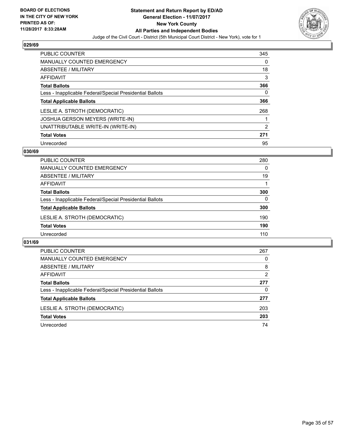

| <b>PUBLIC COUNTER</b>                                    | 345 |
|----------------------------------------------------------|-----|
| <b>MANUALLY COUNTED EMERGENCY</b>                        | 0   |
| ABSENTEE / MILITARY                                      | 18  |
| AFFIDAVIT                                                | 3   |
| <b>Total Ballots</b>                                     | 366 |
| Less - Inapplicable Federal/Special Presidential Ballots | 0   |
| <b>Total Applicable Ballots</b>                          | 366 |
| LESLIE A. STROTH (DEMOCRATIC)                            | 268 |
| <b>JOSHUA GERSON MEYERS (WRITE-IN)</b>                   |     |
| UNATTRIBUTABLE WRITE-IN (WRITE-IN)                       | 2   |
| <b>Total Votes</b>                                       | 271 |
| Unrecorded                                               | 95  |

#### **030/69**

| PUBLIC COUNTER                                           | 280 |
|----------------------------------------------------------|-----|
| MANUALLY COUNTED EMERGENCY                               | 0   |
| ABSENTEE / MILITARY                                      | 19  |
| AFFIDAVIT                                                |     |
| <b>Total Ballots</b>                                     | 300 |
| Less - Inapplicable Federal/Special Presidential Ballots | 0   |
| <b>Total Applicable Ballots</b>                          | 300 |
| LESLIE A. STROTH (DEMOCRATIC)                            | 190 |
| <b>Total Votes</b>                                       | 190 |
| Unrecorded                                               | 110 |

| <b>PUBLIC COUNTER</b>                                    | 267 |
|----------------------------------------------------------|-----|
| <b>MANUALLY COUNTED EMERGENCY</b>                        | 0   |
| ABSENTEE / MILITARY                                      | 8   |
| AFFIDAVIT                                                | 2   |
| <b>Total Ballots</b>                                     | 277 |
| Less - Inapplicable Federal/Special Presidential Ballots | 0   |
| <b>Total Applicable Ballots</b>                          | 277 |
| LESLIE A. STROTH (DEMOCRATIC)                            | 203 |
| <b>Total Votes</b>                                       | 203 |
| Unrecorded                                               | 74  |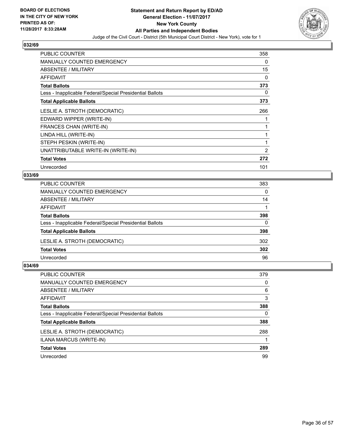

| <b>PUBLIC COUNTER</b>                                    | 358 |
|----------------------------------------------------------|-----|
| <b>MANUALLY COUNTED EMERGENCY</b>                        | 0   |
| ABSENTEE / MILITARY                                      | 15  |
| AFFIDAVIT                                                | 0   |
| <b>Total Ballots</b>                                     | 373 |
| Less - Inapplicable Federal/Special Presidential Ballots | 0   |
| <b>Total Applicable Ballots</b>                          | 373 |
| LESLIE A. STROTH (DEMOCRATIC)                            | 266 |
| EDWARD WIPPER (WRITE-IN)                                 |     |
| FRANCES CHAN (WRITE-IN)                                  |     |
| LINDA HILL (WRITE-IN)                                    |     |
| STEPH PESKIN (WRITE-IN)                                  | 1   |
| UNATTRIBUTABLE WRITE-IN (WRITE-IN)                       | 2   |
| <b>Total Votes</b>                                       | 272 |
| Unrecorded                                               | 101 |

## **033/69**

| <b>PUBLIC COUNTER</b>                                    | 383      |
|----------------------------------------------------------|----------|
| MANUALLY COUNTED EMERGENCY                               | $\Omega$ |
| ABSENTEE / MILITARY                                      | 14       |
| AFFIDAVIT                                                |          |
| <b>Total Ballots</b>                                     | 398      |
| Less - Inapplicable Federal/Special Presidential Ballots | $\Omega$ |
| <b>Total Applicable Ballots</b>                          | 398      |
| LESLIE A. STROTH (DEMOCRATIC)                            | 302      |
| <b>Total Votes</b>                                       | 302      |
| Unrecorded                                               | 96       |
|                                                          |          |

| <b>PUBLIC COUNTER</b>                                    | 379 |
|----------------------------------------------------------|-----|
| MANUALLY COUNTED EMERGENCY                               | 0   |
| ABSENTEE / MILITARY                                      | 6   |
| AFFIDAVIT                                                | 3   |
| <b>Total Ballots</b>                                     | 388 |
| Less - Inapplicable Federal/Special Presidential Ballots | 0   |
| <b>Total Applicable Ballots</b>                          | 388 |
| LESLIE A. STROTH (DEMOCRATIC)                            | 288 |
| ILANA MARCUS (WRITE-IN)                                  |     |
| <b>Total Votes</b>                                       | 289 |
| Unrecorded                                               | 99  |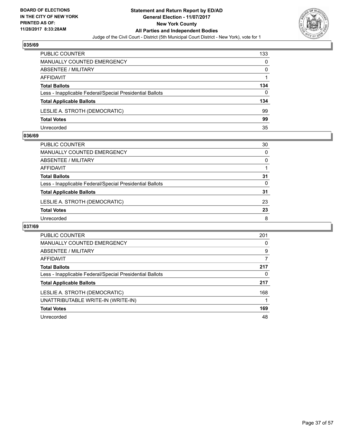

| <b>PUBLIC COUNTER</b>                                    | 133 |
|----------------------------------------------------------|-----|
| MANUALLY COUNTED EMERGENCY                               | 0   |
| ABSENTEE / MILITARY                                      | 0   |
| AFFIDAVIT                                                |     |
| <b>Total Ballots</b>                                     | 134 |
| Less - Inapplicable Federal/Special Presidential Ballots | 0   |
| <b>Total Applicable Ballots</b>                          | 134 |
| LESLIE A. STROTH (DEMOCRATIC)                            | 99  |
| <b>Total Votes</b>                                       | 99  |
| Unrecorded                                               | 35  |

#### **036/69**

| PUBLIC COUNTER                                           | 30       |
|----------------------------------------------------------|----------|
| MANUALLY COUNTED EMERGENCY                               | $\Omega$ |
| <b>ABSENTEE / MILITARY</b>                               | $\Omega$ |
| AFFIDAVIT                                                |          |
| <b>Total Ballots</b>                                     | 31       |
| Less - Inapplicable Federal/Special Presidential Ballots | $\Omega$ |
| <b>Total Applicable Ballots</b>                          | 31       |
| LESLIE A. STROTH (DEMOCRATIC)                            | 23       |
| <b>Total Votes</b>                                       | 23       |
| Unrecorded                                               | 8        |
|                                                          |          |

| <b>PUBLIC COUNTER</b>                                    | 201 |
|----------------------------------------------------------|-----|
| <b>MANUALLY COUNTED EMERGENCY</b>                        | 0   |
| ABSENTEE / MILITARY                                      | 9   |
| AFFIDAVIT                                                | 7   |
| <b>Total Ballots</b>                                     | 217 |
| Less - Inapplicable Federal/Special Presidential Ballots | 0   |
| <b>Total Applicable Ballots</b>                          | 217 |
| LESLIE A. STROTH (DEMOCRATIC)                            | 168 |
| UNATTRIBUTABLE WRITE-IN (WRITE-IN)                       |     |
| <b>Total Votes</b>                                       | 169 |
| Unrecorded                                               | 48  |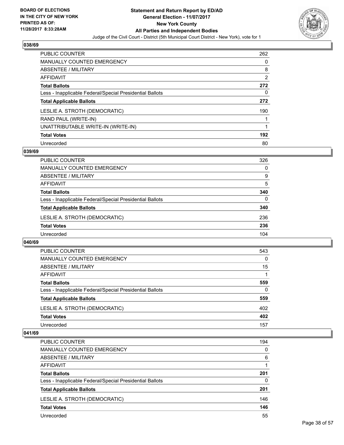

| <b>PUBLIC COUNTER</b>                                    | 262            |
|----------------------------------------------------------|----------------|
| <b>MANUALLY COUNTED EMERGENCY</b>                        | 0              |
| ABSENTEE / MILITARY                                      | 8              |
| AFFIDAVIT                                                | $\overline{2}$ |
| <b>Total Ballots</b>                                     | 272            |
| Less - Inapplicable Federal/Special Presidential Ballots | 0              |
| <b>Total Applicable Ballots</b>                          | 272            |
| LESLIE A. STROTH (DEMOCRATIC)                            | 190            |
| RAND PAUL (WRITE-IN)                                     |                |
| UNATTRIBUTABLE WRITE-IN (WRITE-IN)                       |                |
| <b>Total Votes</b>                                       | 192            |
| Unrecorded                                               | 80             |

#### **039/69**

| <b>PUBLIC COUNTER</b>                                    | 326 |
|----------------------------------------------------------|-----|
| MANUALLY COUNTED EMERGENCY                               | 0   |
| ABSENTEE / MILITARY                                      | 9   |
| AFFIDAVIT                                                | 5   |
| <b>Total Ballots</b>                                     | 340 |
| Less - Inapplicable Federal/Special Presidential Ballots | 0   |
| <b>Total Applicable Ballots</b>                          | 340 |
| LESLIE A. STROTH (DEMOCRATIC)                            | 236 |
| <b>Total Votes</b>                                       | 236 |
| Unrecorded                                               | 104 |

#### **040/69**

| <b>PUBLIC COUNTER</b>                                    | 543      |
|----------------------------------------------------------|----------|
| MANUALLY COUNTED EMERGENCY                               | 0        |
| ABSENTEE / MILITARY                                      | 15       |
| AFFIDAVIT                                                |          |
| <b>Total Ballots</b>                                     | 559      |
| Less - Inapplicable Federal/Special Presidential Ballots | $\Omega$ |
| <b>Total Applicable Ballots</b>                          | 559      |
| LESLIE A. STROTH (DEMOCRATIC)                            | 402      |
| <b>Total Votes</b>                                       | 402      |
| Unrecorded                                               | 157      |

| <b>PUBLIC COUNTER</b>                                    | 194      |
|----------------------------------------------------------|----------|
| MANUALLY COUNTED EMERGENCY                               | $\Omega$ |
| ABSENTEE / MILITARY                                      | 6        |
| AFFIDAVIT                                                |          |
| <b>Total Ballots</b>                                     | 201      |
| Less - Inapplicable Federal/Special Presidential Ballots | 0        |
| <b>Total Applicable Ballots</b>                          | 201      |
| LESLIE A. STROTH (DEMOCRATIC)                            | 146      |
| <b>Total Votes</b>                                       | 146      |
| Unrecorded                                               | 55       |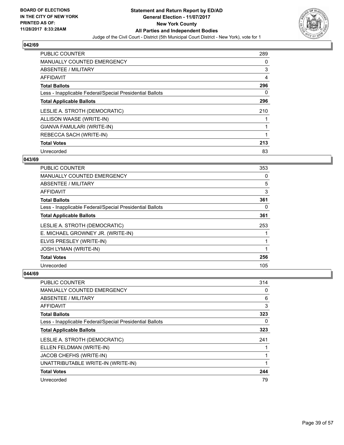

| <b>PUBLIC COUNTER</b>                                    | 289 |
|----------------------------------------------------------|-----|
| <b>MANUALLY COUNTED EMERGENCY</b>                        | 0   |
| ABSENTEE / MILITARY                                      | 3   |
| <b>AFFIDAVIT</b>                                         | 4   |
| <b>Total Ballots</b>                                     | 296 |
| Less - Inapplicable Federal/Special Presidential Ballots | 0   |
| <b>Total Applicable Ballots</b>                          | 296 |
| LESLIE A. STROTH (DEMOCRATIC)                            | 210 |
| ALLISON WAASE (WRITE-IN)                                 |     |
| GIANVA FAMULARI (WRITE-IN)                               |     |
| REBECCA SACH (WRITE-IN)                                  |     |
| <b>Total Votes</b>                                       | 213 |
| Unrecorded                                               | 83  |

## **043/69**

| <b>PUBLIC COUNTER</b>                                    | 353 |
|----------------------------------------------------------|-----|
| <b>MANUALLY COUNTED EMERGENCY</b>                        | 0   |
| ABSENTEE / MILITARY                                      | 5   |
| AFFIDAVIT                                                | 3   |
| <b>Total Ballots</b>                                     | 361 |
| Less - Inapplicable Federal/Special Presidential Ballots | 0   |
| <b>Total Applicable Ballots</b>                          | 361 |
| LESLIE A. STROTH (DEMOCRATIC)                            | 253 |
| E. MICHAEL GROWNEY JR. (WRITE-IN)                        |     |
| ELVIS PRESLEY (WRITE-IN)                                 |     |
| <b>JOSH LYMAN (WRITE-IN)</b>                             |     |
| <b>Total Votes</b>                                       | 256 |
| Unrecorded                                               | 105 |

| <b>PUBLIC COUNTER</b>                                    | 314 |
|----------------------------------------------------------|-----|
| <b>MANUALLY COUNTED EMERGENCY</b>                        | 0   |
| ABSENTEE / MILITARY                                      | 6   |
| AFFIDAVIT                                                | 3   |
| <b>Total Ballots</b>                                     | 323 |
| Less - Inapplicable Federal/Special Presidential Ballots | 0   |
| <b>Total Applicable Ballots</b>                          | 323 |
| LESLIE A. STROTH (DEMOCRATIC)                            | 241 |
| ELLEN FELDMAN (WRITE-IN)                                 |     |
| JACOB CHEFHS (WRITE-IN)                                  |     |
| UNATTRIBUTABLE WRITE-IN (WRITE-IN)                       |     |
| <b>Total Votes</b>                                       | 244 |
| Unrecorded                                               | 79  |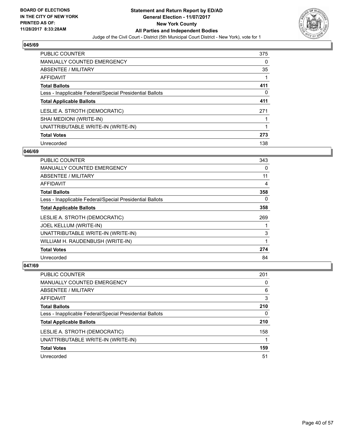

| <b>PUBLIC COUNTER</b>                                    | 375 |
|----------------------------------------------------------|-----|
| <b>MANUALLY COUNTED EMERGENCY</b>                        | 0   |
| ABSENTEE / MILITARY                                      | 35  |
| AFFIDAVIT                                                |     |
| <b>Total Ballots</b>                                     | 411 |
| Less - Inapplicable Federal/Special Presidential Ballots | 0   |
| <b>Total Applicable Ballots</b>                          | 411 |
| LESLIE A. STROTH (DEMOCRATIC)                            | 271 |
| SHAI MEDIONI (WRITE-IN)                                  |     |
| UNATTRIBUTABLE WRITE-IN (WRITE-IN)                       |     |
| <b>Total Votes</b>                                       | 273 |
| Unrecorded                                               | 138 |

#### **046/69**

| <b>PUBLIC COUNTER</b>                                    | 343 |
|----------------------------------------------------------|-----|
| <b>MANUALLY COUNTED EMERGENCY</b>                        | 0   |
| ABSENTEE / MILITARY                                      | 11  |
| <b>AFFIDAVIT</b>                                         | 4   |
| <b>Total Ballots</b>                                     | 358 |
| Less - Inapplicable Federal/Special Presidential Ballots | 0   |
| <b>Total Applicable Ballots</b>                          | 358 |
| LESLIE A. STROTH (DEMOCRATIC)                            | 269 |
| JOEL KELLUM (WRITE-IN)                                   |     |
| UNATTRIBUTABLE WRITE-IN (WRITE-IN)                       | 3   |
| WILLIAM H. RAUDENBUSH (WRITE-IN)                         |     |
| <b>Total Votes</b>                                       | 274 |
| Unrecorded                                               | 84  |

| PUBLIC COUNTER                                           | 201 |
|----------------------------------------------------------|-----|
| <b>MANUALLY COUNTED EMERGENCY</b>                        | 0   |
| ABSENTEE / MILITARY                                      | 6   |
| AFFIDAVIT                                                | 3   |
| <b>Total Ballots</b>                                     | 210 |
| Less - Inapplicable Federal/Special Presidential Ballots | 0   |
| <b>Total Applicable Ballots</b>                          | 210 |
| LESLIE A. STROTH (DEMOCRATIC)                            | 158 |
| UNATTRIBUTABLE WRITE-IN (WRITE-IN)                       |     |
| <b>Total Votes</b>                                       | 159 |
| Unrecorded                                               | 51  |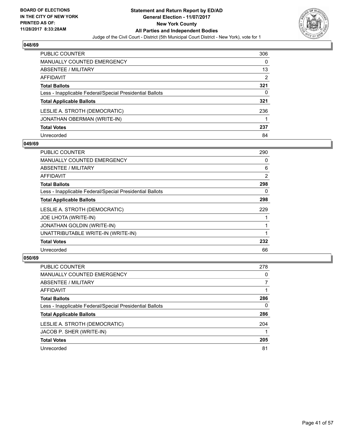

| <b>PUBLIC COUNTER</b>                                    | 306 |
|----------------------------------------------------------|-----|
| MANUALLY COUNTED EMERGENCY                               | 0   |
| ABSENTEE / MILITARY                                      | 13  |
| AFFIDAVIT                                                | 2   |
| <b>Total Ballots</b>                                     | 321 |
| Less - Inapplicable Federal/Special Presidential Ballots | 0   |
| <b>Total Applicable Ballots</b>                          | 321 |
| LESLIE A. STROTH (DEMOCRATIC)                            | 236 |
| JONATHAN OBERMAN (WRITE-IN)                              |     |
| <b>Total Votes</b>                                       | 237 |
| Unrecorded                                               | 84  |

#### **049/69**

| PUBLIC COUNTER                                           | 290 |
|----------------------------------------------------------|-----|
| <b>MANUALLY COUNTED EMERGENCY</b>                        | 0   |
| <b>ABSENTEE / MILITARY</b>                               | 6   |
| <b>AFFIDAVIT</b>                                         | 2   |
| <b>Total Ballots</b>                                     | 298 |
| Less - Inapplicable Federal/Special Presidential Ballots | 0   |
| <b>Total Applicable Ballots</b>                          | 298 |
| LESLIE A. STROTH (DEMOCRATIC)                            | 229 |
| JOE LHOTA (WRITE-IN)                                     |     |
| <b>JONATHAN GOLDIN (WRITE-IN)</b>                        |     |
| UNATTRIBUTABLE WRITE-IN (WRITE-IN)                       |     |
| <b>Total Votes</b>                                       | 232 |
| Unrecorded                                               | 66  |

| <b>PUBLIC COUNTER</b>                                    | 278 |
|----------------------------------------------------------|-----|
| <b>MANUALLY COUNTED EMERGENCY</b>                        | 0   |
| ABSENTEE / MILITARY                                      |     |
| AFFIDAVIT                                                |     |
| <b>Total Ballots</b>                                     | 286 |
| Less - Inapplicable Federal/Special Presidential Ballots | 0   |
| <b>Total Applicable Ballots</b>                          | 286 |
| LESLIE A. STROTH (DEMOCRATIC)                            | 204 |
| JACOB P. SHER (WRITE-IN)                                 |     |
| <b>Total Votes</b>                                       | 205 |
| Unrecorded                                               | 81  |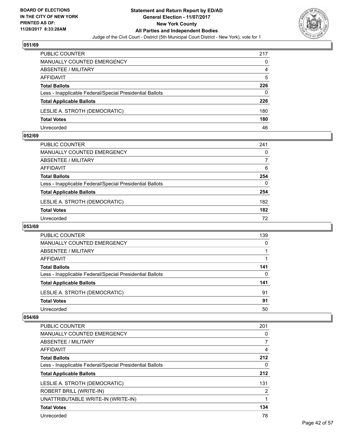

| <b>PUBLIC COUNTER</b>                                    | 217 |
|----------------------------------------------------------|-----|
| MANUALLY COUNTED EMERGENCY                               | 0   |
| ABSENTEE / MILITARY                                      | 4   |
| AFFIDAVIT                                                | 5   |
| <b>Total Ballots</b>                                     | 226 |
| Less - Inapplicable Federal/Special Presidential Ballots | 0   |
| <b>Total Applicable Ballots</b>                          | 226 |
| LESLIE A. STROTH (DEMOCRATIC)                            | 180 |
| <b>Total Votes</b>                                       | 180 |
| Unrecorded                                               | 46  |

#### **052/69**

| PUBLIC COUNTER                                           | 241 |
|----------------------------------------------------------|-----|
| <b>MANUALLY COUNTED EMERGENCY</b>                        | 0   |
| <b>ABSENTEE / MILITARY</b>                               |     |
| AFFIDAVIT                                                | 6   |
| <b>Total Ballots</b>                                     | 254 |
| Less - Inapplicable Federal/Special Presidential Ballots | 0   |
| <b>Total Applicable Ballots</b>                          | 254 |
| LESLIE A. STROTH (DEMOCRATIC)                            | 182 |
| <b>Total Votes</b>                                       | 182 |
| Unrecorded                                               | 72  |
|                                                          |     |

#### **053/69**

| <b>PUBLIC COUNTER</b>                                    | 139 |
|----------------------------------------------------------|-----|
| MANUALLY COUNTED EMERGENCY                               | 0   |
| ABSENTEE / MILITARY                                      |     |
| AFFIDAVIT                                                |     |
| <b>Total Ballots</b>                                     | 141 |
| Less - Inapplicable Federal/Special Presidential Ballots | 0   |
| <b>Total Applicable Ballots</b>                          | 141 |
| LESLIE A. STROTH (DEMOCRATIC)                            | 91  |
| <b>Total Votes</b>                                       | 91  |
| Unrecorded                                               | 50  |

| PUBLIC COUNTER                                           | 201 |
|----------------------------------------------------------|-----|
| <b>MANUALLY COUNTED EMERGENCY</b>                        | 0   |
| ABSENTEE / MILITARY                                      |     |
| <b>AFFIDAVIT</b>                                         | 4   |
| <b>Total Ballots</b>                                     | 212 |
| Less - Inapplicable Federal/Special Presidential Ballots | 0   |
| <b>Total Applicable Ballots</b>                          | 212 |
| LESLIE A. STROTH (DEMOCRATIC)                            | 131 |
| ROBERT BRILL (WRITE-IN)                                  | 2   |
| UNATTRIBUTABLE WRITE-IN (WRITE-IN)                       |     |
| <b>Total Votes</b>                                       | 134 |
| Unrecorded                                               | 78  |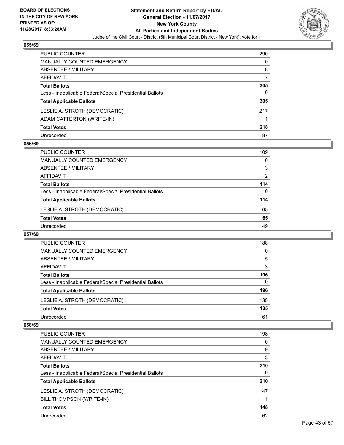

| <b>PUBLIC COUNTER</b>                                    | 290 |
|----------------------------------------------------------|-----|
| <b>MANUALLY COUNTED EMERGENCY</b>                        | 0   |
| ABSENTEE / MILITARY                                      | 8   |
| <b>AFFIDAVIT</b>                                         |     |
| <b>Total Ballots</b>                                     | 305 |
| Less - Inapplicable Federal/Special Presidential Ballots | 0   |
| <b>Total Applicable Ballots</b>                          | 305 |
| LESLIE A. STROTH (DEMOCRATIC)                            | 217 |
| ADAM CATTERTON (WRITE-IN)                                |     |
| <b>Total Votes</b>                                       | 218 |
| Unrecorded                                               | 87  |

#### **056/69**

| <b>PUBLIC COUNTER</b>                                    | 109            |
|----------------------------------------------------------|----------------|
| MANUALLY COUNTED EMERGENCY                               | 0              |
| ABSENTEE / MILITARY                                      | 3              |
| AFFIDAVIT                                                | $\overline{2}$ |
| <b>Total Ballots</b>                                     | 114            |
| Less - Inapplicable Federal/Special Presidential Ballots | 0              |
| <b>Total Applicable Ballots</b>                          | 114            |
| LESLIE A. STROTH (DEMOCRATIC)                            | 65             |
| <b>Total Votes</b>                                       | 65             |
| Unrecorded                                               | 49             |

#### **057/69**

| PUBLIC COUNTER                                           | 188 |
|----------------------------------------------------------|-----|
| <b>MANUALLY COUNTED EMERGENCY</b>                        | 0   |
| ABSENTEE / MILITARY                                      | 5   |
| AFFIDAVIT                                                | 3   |
| <b>Total Ballots</b>                                     | 196 |
| Less - Inapplicable Federal/Special Presidential Ballots | 0   |
| <b>Total Applicable Ballots</b>                          | 196 |
| LESLIE A. STROTH (DEMOCRATIC)                            | 135 |
| <b>Total Votes</b>                                       | 135 |
| Unrecorded                                               | 61  |

| <b>PUBLIC COUNTER</b>                                    | 198 |
|----------------------------------------------------------|-----|
| MANUALLY COUNTED EMERGENCY                               | 0   |
| ABSENTEE / MILITARY                                      | 9   |
| AFFIDAVIT                                                | 3   |
| <b>Total Ballots</b>                                     | 210 |
| Less - Inapplicable Federal/Special Presidential Ballots | 0   |
| <b>Total Applicable Ballots</b>                          | 210 |
| LESLIE A. STROTH (DEMOCRATIC)                            | 147 |
| BILL THOMPSON (WRITE-IN)                                 |     |
| <b>Total Votes</b>                                       | 148 |
| Unrecorded                                               | 62  |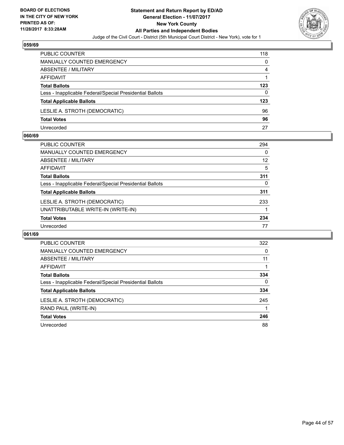

| PUBLIC COUNTER                                           | 118 |
|----------------------------------------------------------|-----|
| <b>MANUALLY COUNTED EMERGENCY</b>                        | 0   |
| ABSENTEE / MILITARY                                      | 4   |
| AFFIDAVIT                                                |     |
| <b>Total Ballots</b>                                     | 123 |
| Less - Inapplicable Federal/Special Presidential Ballots | 0   |
| <b>Total Applicable Ballots</b>                          | 123 |
| LESLIE A. STROTH (DEMOCRATIC)                            | 96  |
| <b>Total Votes</b>                                       | 96  |
| Unrecorded                                               | 27  |

#### **060/69**

| <b>PUBLIC COUNTER</b>                                    | 294 |
|----------------------------------------------------------|-----|
| <b>MANUALLY COUNTED EMERGENCY</b>                        | 0   |
| ABSENTEE / MILITARY                                      | 12  |
| AFFIDAVIT                                                | 5   |
| <b>Total Ballots</b>                                     | 311 |
| Less - Inapplicable Federal/Special Presidential Ballots | 0   |
| <b>Total Applicable Ballots</b>                          | 311 |
| LESLIE A. STROTH (DEMOCRATIC)                            | 233 |
| UNATTRIBUTABLE WRITE-IN (WRITE-IN)                       |     |
| <b>Total Votes</b>                                       | 234 |
| Unrecorded                                               | 77  |
|                                                          |     |

| <b>PUBLIC COUNTER</b>                                    | 322 |
|----------------------------------------------------------|-----|
| MANUALLY COUNTED EMERGENCY                               | 0   |
| ABSENTEE / MILITARY                                      | 11  |
| AFFIDAVIT                                                |     |
| <b>Total Ballots</b>                                     | 334 |
| Less - Inapplicable Federal/Special Presidential Ballots | 0   |
| <b>Total Applicable Ballots</b>                          | 334 |
| LESLIE A. STROTH (DEMOCRATIC)                            | 245 |
| RAND PAUL (WRITE-IN)                                     |     |
| <b>Total Votes</b>                                       | 246 |
| Unrecorded                                               | 88  |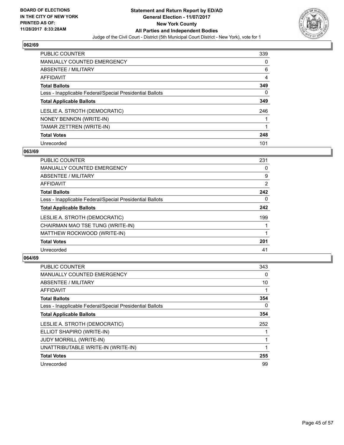

| <b>PUBLIC COUNTER</b>                                    | 339 |
|----------------------------------------------------------|-----|
| <b>MANUALLY COUNTED EMERGENCY</b>                        | 0   |
| ABSENTEE / MILITARY                                      | 6   |
| AFFIDAVIT                                                | 4   |
| <b>Total Ballots</b>                                     | 349 |
| Less - Inapplicable Federal/Special Presidential Ballots | 0   |
| <b>Total Applicable Ballots</b>                          | 349 |
| LESLIE A. STROTH (DEMOCRATIC)                            | 246 |
| NONEY BENNON (WRITE-IN)                                  |     |
| TAMAR ZETTREN (WRITE-IN)                                 |     |
| <b>Total Votes</b>                                       | 248 |
| Unrecorded                                               | 101 |

#### **063/69**

| <b>PUBLIC COUNTER</b>                                    | 231 |
|----------------------------------------------------------|-----|
| <b>MANUALLY COUNTED EMERGENCY</b>                        | 0   |
| ABSENTEE / MILITARY                                      | 9   |
| <b>AFFIDAVIT</b>                                         | 2   |
| <b>Total Ballots</b>                                     | 242 |
| Less - Inapplicable Federal/Special Presidential Ballots | 0   |
| <b>Total Applicable Ballots</b>                          | 242 |
| LESLIE A. STROTH (DEMOCRATIC)                            | 199 |
| CHAIRMAN MAO TSE TUNG (WRITE-IN)                         |     |
| MATTHEW ROCKWOOD (WRITE-IN)                              |     |
| <b>Total Votes</b>                                       | 201 |
| Unrecorded                                               | 41  |

| <b>PUBLIC COUNTER</b>                                    | 343 |
|----------------------------------------------------------|-----|
| <b>MANUALLY COUNTED EMERGENCY</b>                        | 0   |
| ABSENTEE / MILITARY                                      | 10  |
| <b>AFFIDAVIT</b>                                         | 1   |
| <b>Total Ballots</b>                                     | 354 |
| Less - Inapplicable Federal/Special Presidential Ballots | 0   |
| <b>Total Applicable Ballots</b>                          | 354 |
| LESLIE A. STROTH (DEMOCRATIC)                            | 252 |
| ELLIOT SHAPIRO (WRITE-IN)                                |     |
| <b>JUDY MORRILL (WRITE-IN)</b>                           |     |
| UNATTRIBUTABLE WRITE-IN (WRITE-IN)                       |     |
| <b>Total Votes</b>                                       | 255 |
| Unrecorded                                               | 99  |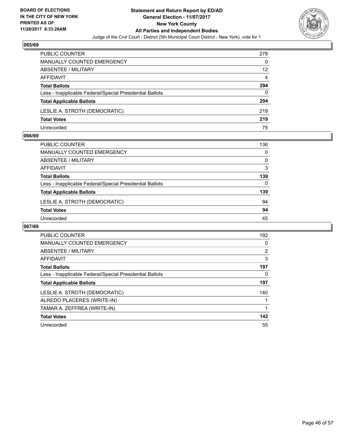

| <b>PUBLIC COUNTER</b>                                    | 278 |
|----------------------------------------------------------|-----|
| <b>MANUALLY COUNTED EMERGENCY</b>                        | 0   |
| ABSENTEE / MILITARY                                      | 12  |
| AFFIDAVIT                                                | 4   |
| <b>Total Ballots</b>                                     | 294 |
| Less - Inapplicable Federal/Special Presidential Ballots | 0   |
| <b>Total Applicable Ballots</b>                          | 294 |
| LESLIE A. STROTH (DEMOCRATIC)                            | 219 |
| <b>Total Votes</b>                                       | 219 |
| Unrecorded                                               | 75  |

#### **066/69**

| <b>PUBLIC COUNTER</b>                                    | 136 |
|----------------------------------------------------------|-----|
| MANUALLY COUNTED EMERGENCY                               | 0   |
| ABSENTEE / MILITARY                                      | 0   |
| AFFIDAVIT                                                | 3   |
| <b>Total Ballots</b>                                     | 139 |
| Less - Inapplicable Federal/Special Presidential Ballots | 0   |
| <b>Total Applicable Ballots</b>                          | 139 |
| LESLIE A. STROTH (DEMOCRATIC)                            | 94  |
| <b>Total Votes</b>                                       | 94  |
| Unrecorded                                               | 45  |
|                                                          |     |

| <b>PUBLIC COUNTER</b>                                    | 192 |
|----------------------------------------------------------|-----|
| <b>MANUALLY COUNTED EMERGENCY</b>                        | 0   |
| ABSENTEE / MILITARY                                      | 2   |
| AFFIDAVIT                                                | 3   |
| <b>Total Ballots</b>                                     | 197 |
| Less - Inapplicable Federal/Special Presidential Ballots | 0   |
| <b>Total Applicable Ballots</b>                          | 197 |
| LESLIE A. STROTH (DEMOCRATIC)                            | 140 |
| ALREDO PLACERES (WRITE-IN)                               |     |
| TAMAR A. ZEFFREA (WRITE-IN)                              |     |
| <b>Total Votes</b>                                       | 142 |
| Unrecorded                                               | 55  |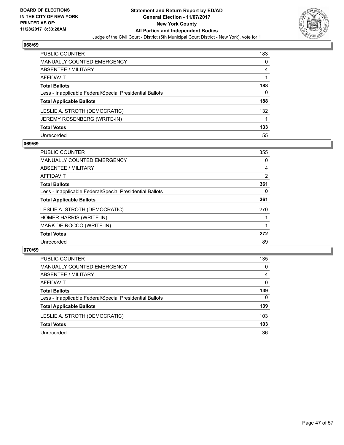

| PUBLIC COUNTER                                           | 183 |
|----------------------------------------------------------|-----|
| <b>MANUALLY COUNTED EMERGENCY</b>                        | 0   |
| ABSENTEE / MILITARY                                      | 4   |
| AFFIDAVIT                                                |     |
| <b>Total Ballots</b>                                     | 188 |
| Less - Inapplicable Federal/Special Presidential Ballots | 0   |
| <b>Total Applicable Ballots</b>                          | 188 |
| LESLIE A. STROTH (DEMOCRATIC)                            | 132 |
| JEREMY ROSENBERG (WRITE-IN)                              |     |
| <b>Total Votes</b>                                       | 133 |
| Unrecorded                                               | 55  |

## **069/69**

| <b>PUBLIC COUNTER</b>                                    | 355 |
|----------------------------------------------------------|-----|
| <b>MANUALLY COUNTED EMERGENCY</b>                        | 0   |
| ABSENTEE / MILITARY                                      | 4   |
| <b>AFFIDAVIT</b>                                         | 2   |
| <b>Total Ballots</b>                                     | 361 |
| Less - Inapplicable Federal/Special Presidential Ballots | 0   |
| <b>Total Applicable Ballots</b>                          | 361 |
| LESLIE A. STROTH (DEMOCRATIC)                            | 270 |
| HOMER HARRIS (WRITE-IN)                                  |     |
| MARK DE ROCCO (WRITE-IN)                                 |     |
| <b>Total Votes</b>                                       | 272 |
| Unrecorded                                               | 89  |

| PUBLIC COUNTER                                           | 135 |
|----------------------------------------------------------|-----|
| <b>MANUALLY COUNTED EMERGENCY</b>                        | 0   |
| ABSENTEE / MILITARY                                      | 4   |
| AFFIDAVIT                                                | 0   |
| <b>Total Ballots</b>                                     | 139 |
| Less - Inapplicable Federal/Special Presidential Ballots | 0   |
| <b>Total Applicable Ballots</b>                          | 139 |
| LESLIE A. STROTH (DEMOCRATIC)                            | 103 |
| <b>Total Votes</b>                                       | 103 |
| Unrecorded                                               | 36  |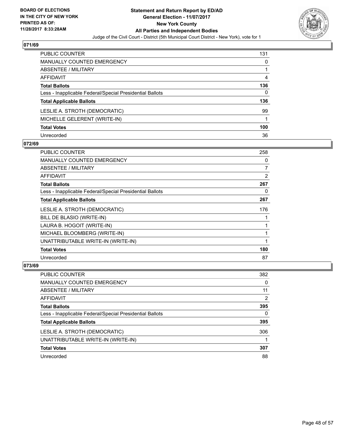

| PUBLIC COUNTER                                           | 131 |
|----------------------------------------------------------|-----|
| <b>MANUALLY COUNTED EMERGENCY</b>                        | 0   |
| ABSENTEE / MILITARY                                      |     |
| AFFIDAVIT                                                | 4   |
| <b>Total Ballots</b>                                     | 136 |
| Less - Inapplicable Federal/Special Presidential Ballots | 0   |
| <b>Total Applicable Ballots</b>                          | 136 |
| LESLIE A. STROTH (DEMOCRATIC)                            | 99  |
| MICHELLE GELERENT (WRITE-IN)                             |     |
| <b>Total Votes</b>                                       | 100 |
| Unrecorded                                               | 36  |

## **072/69**

| PUBLIC COUNTER                                           | 258            |
|----------------------------------------------------------|----------------|
| <b>MANUALLY COUNTED EMERGENCY</b>                        | 0              |
| <b>ABSENTEE / MILITARY</b>                               | $\overline{7}$ |
| AFFIDAVIT                                                | 2              |
| <b>Total Ballots</b>                                     | 267            |
| Less - Inapplicable Federal/Special Presidential Ballots | 0              |
| <b>Total Applicable Ballots</b>                          | 267            |
| LESLIE A. STROTH (DEMOCRATIC)                            | 176            |
| BILL DE BLASIO (WRITE-IN)                                |                |
| LAURA B. HOGOIT (WRITE-IN)                               |                |
| MICHAEL BLOOMBERG (WRITE-IN)                             |                |
| UNATTRIBUTABLE WRITE-IN (WRITE-IN)                       |                |
| <b>Total Votes</b>                                       | 180            |
| Unrecorded                                               | 87             |

| PUBLIC COUNTER                                           | 382 |
|----------------------------------------------------------|-----|
| <b>MANUALLY COUNTED EMERGENCY</b>                        | 0   |
| ABSENTEE / MILITARY                                      | 11  |
| AFFIDAVIT                                                | 2   |
| <b>Total Ballots</b>                                     | 395 |
| Less - Inapplicable Federal/Special Presidential Ballots | 0   |
| <b>Total Applicable Ballots</b>                          | 395 |
| LESLIE A. STROTH (DEMOCRATIC)                            | 306 |
| UNATTRIBUTABLE WRITE-IN (WRITE-IN)                       |     |
| <b>Total Votes</b>                                       | 307 |
| Unrecorded                                               | 88  |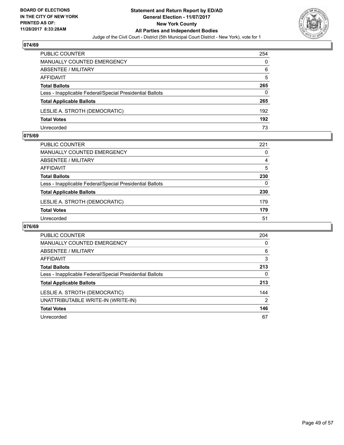

| PUBLIC COUNTER                                           | 254 |
|----------------------------------------------------------|-----|
| <b>MANUALLY COUNTED EMERGENCY</b>                        | 0   |
| ABSENTEE / MILITARY                                      | 6   |
| AFFIDAVIT                                                | 5   |
| <b>Total Ballots</b>                                     | 265 |
| Less - Inapplicable Federal/Special Presidential Ballots | 0   |
| <b>Total Applicable Ballots</b>                          | 265 |
| LESLIE A. STROTH (DEMOCRATIC)                            | 192 |
| <b>Total Votes</b>                                       | 192 |
| Unrecorded                                               | 73  |

#### **075/69**

| <b>PUBLIC COUNTER</b>                                    | 221 |
|----------------------------------------------------------|-----|
| <b>MANUALLY COUNTED EMERGENCY</b>                        | 0   |
| ABSENTEE / MILITARY                                      | 4   |
| AFFIDAVIT                                                | 5   |
| <b>Total Ballots</b>                                     | 230 |
| Less - Inapplicable Federal/Special Presidential Ballots | 0   |
| <b>Total Applicable Ballots</b>                          | 230 |
| LESLIE A. STROTH (DEMOCRATIC)                            | 179 |
| <b>Total Votes</b>                                       | 179 |
| Unrecorded                                               | 51  |

| <b>PUBLIC COUNTER</b>                                    | 204            |
|----------------------------------------------------------|----------------|
| <b>MANUALLY COUNTED EMERGENCY</b>                        | 0              |
| ABSENTEE / MILITARY                                      | 6              |
| <b>AFFIDAVIT</b>                                         | 3              |
| <b>Total Ballots</b>                                     | 213            |
| Less - Inapplicable Federal/Special Presidential Ballots | 0              |
| <b>Total Applicable Ballots</b>                          | 213            |
| LESLIE A. STROTH (DEMOCRATIC)                            | 144            |
| UNATTRIBUTABLE WRITE-IN (WRITE-IN)                       | $\overline{2}$ |
| <b>Total Votes</b>                                       | 146            |
| Unrecorded                                               | 67             |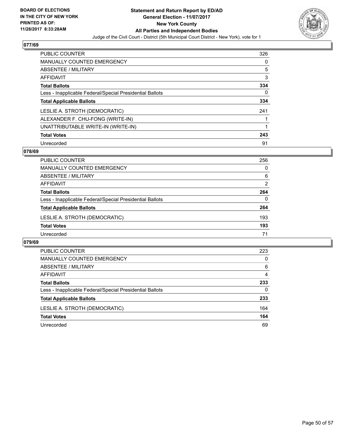

| <b>PUBLIC COUNTER</b>                                    | 326 |
|----------------------------------------------------------|-----|
| <b>MANUALLY COUNTED EMERGENCY</b>                        | 0   |
| ABSENTEE / MILITARY                                      | 5   |
| AFFIDAVIT                                                | 3   |
| <b>Total Ballots</b>                                     | 334 |
| Less - Inapplicable Federal/Special Presidential Ballots | 0   |
| <b>Total Applicable Ballots</b>                          | 334 |
| LESLIE A. STROTH (DEMOCRATIC)                            | 241 |
| ALEXANDER F. CHU-FONG (WRITE-IN)                         |     |
| UNATTRIBUTABLE WRITE-IN (WRITE-IN)                       |     |
| <b>Total Votes</b>                                       | 243 |
| Unrecorded                                               | 91  |

#### **078/69**

| <b>PUBLIC COUNTER</b>                                    | 256      |
|----------------------------------------------------------|----------|
| MANUALLY COUNTED EMERGENCY                               | 0        |
| ABSENTEE / MILITARY                                      | 6        |
| AFFIDAVIT                                                | 2        |
| <b>Total Ballots</b>                                     | 264      |
| Less - Inapplicable Federal/Special Presidential Ballots | $\Omega$ |
| <b>Total Applicable Ballots</b>                          | 264      |
| LESLIE A. STROTH (DEMOCRATIC)                            | 193      |
| <b>Total Votes</b>                                       | 193      |
| Unrecorded                                               | 71       |

| PUBLIC COUNTER                                           | 223 |
|----------------------------------------------------------|-----|
| <b>MANUALLY COUNTED EMERGENCY</b>                        | 0   |
| ABSENTEE / MILITARY                                      | 6   |
| AFFIDAVIT                                                | 4   |
| <b>Total Ballots</b>                                     | 233 |
| Less - Inapplicable Federal/Special Presidential Ballots | 0   |
| <b>Total Applicable Ballots</b>                          | 233 |
| LESLIE A. STROTH (DEMOCRATIC)                            | 164 |
| <b>Total Votes</b>                                       | 164 |
| Unrecorded                                               | 69  |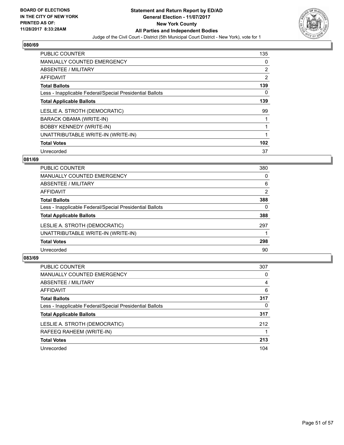

| <b>PUBLIC COUNTER</b>                                    | 135 |
|----------------------------------------------------------|-----|
| <b>MANUALLY COUNTED EMERGENCY</b>                        | 0   |
| ABSENTEE / MILITARY                                      | 2   |
| <b>AFFIDAVIT</b>                                         | 2   |
| <b>Total Ballots</b>                                     | 139 |
| Less - Inapplicable Federal/Special Presidential Ballots | 0   |
| <b>Total Applicable Ballots</b>                          | 139 |
| LESLIE A. STROTH (DEMOCRATIC)                            | 99  |
| BARACK OBAMA (WRITE-IN)                                  |     |
| <b>BOBBY KENNEDY (WRITE-IN)</b>                          |     |
| UNATTRIBUTABLE WRITE-IN (WRITE-IN)                       | 1   |
| <b>Total Votes</b>                                       | 102 |
| Unrecorded                                               | 37  |

#### **081/69**

| <b>PUBLIC COUNTER</b>                                    | 380 |
|----------------------------------------------------------|-----|
| <b>MANUALLY COUNTED EMERGENCY</b>                        | 0   |
| ABSENTEE / MILITARY                                      | 6   |
| AFFIDAVIT                                                | 2   |
| <b>Total Ballots</b>                                     | 388 |
| Less - Inapplicable Federal/Special Presidential Ballots | 0   |
| <b>Total Applicable Ballots</b>                          | 388 |
| LESLIE A. STROTH (DEMOCRATIC)                            | 297 |
| UNATTRIBUTABLE WRITE-IN (WRITE-IN)                       |     |
| <b>Total Votes</b>                                       | 298 |
| Unrecorded                                               | 90  |

| <b>PUBLIC COUNTER</b>                                    | 307 |
|----------------------------------------------------------|-----|
| <b>MANUALLY COUNTED EMERGENCY</b>                        | 0   |
| ABSENTEE / MILITARY                                      | 4   |
| AFFIDAVIT                                                | 6   |
| <b>Total Ballots</b>                                     | 317 |
| Less - Inapplicable Federal/Special Presidential Ballots | 0   |
| <b>Total Applicable Ballots</b>                          | 317 |
| LESLIE A. STROTH (DEMOCRATIC)                            | 212 |
| RAFEEQ RAHEEM (WRITE-IN)                                 |     |
| <b>Total Votes</b>                                       | 213 |
| Unrecorded                                               | 104 |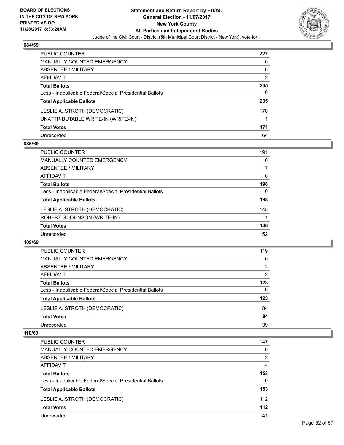

| <b>PUBLIC COUNTER</b>                                    | 227 |
|----------------------------------------------------------|-----|
| <b>MANUALLY COUNTED EMERGENCY</b>                        | 0   |
| ABSENTEE / MILITARY                                      | 6   |
| <b>AFFIDAVIT</b>                                         | 2   |
| <b>Total Ballots</b>                                     | 235 |
| Less - Inapplicable Federal/Special Presidential Ballots | 0   |
| <b>Total Applicable Ballots</b>                          | 235 |
| LESLIE A. STROTH (DEMOCRATIC)                            | 170 |
| UNATTRIBUTABLE WRITE-IN (WRITE-IN)                       |     |
| <b>Total Votes</b>                                       | 171 |
| Unrecorded                                               | 64  |

#### **085/69**

| <b>PUBLIC COUNTER</b>                                    | 191      |
|----------------------------------------------------------|----------|
| MANUALLY COUNTED EMERGENCY                               | 0        |
| ABSENTEE / MILITARY                                      | 7        |
| AFFIDAVIT                                                | $\Omega$ |
| <b>Total Ballots</b>                                     | 198      |
| Less - Inapplicable Federal/Special Presidential Ballots | 0        |
| <b>Total Applicable Ballots</b>                          | 198      |
| LESLIE A. STROTH (DEMOCRATIC)                            | 145      |
| ROBERT S JOHNSON (WRITE-IN)                              |          |
| <b>Total Votes</b>                                       | 146      |
| Unrecorded                                               | 52       |

#### **109/69**

| PUBLIC COUNTER                                           | 119 |
|----------------------------------------------------------|-----|
| MANUALLY COUNTED EMERGENCY                               | 0   |
| ABSENTEE / MILITARY                                      | 2   |
| AFFIDAVIT                                                | 2   |
| <b>Total Ballots</b>                                     | 123 |
| Less - Inapplicable Federal/Special Presidential Ballots | 0   |
| <b>Total Applicable Ballots</b>                          | 123 |
| LESLIE A. STROTH (DEMOCRATIC)                            | 84  |
| <b>Total Votes</b>                                       | 84  |
| Unrecorded                                               | 39  |

| <b>PUBLIC COUNTER</b>                                    | 147   |
|----------------------------------------------------------|-------|
| MANUALLY COUNTED EMERGENCY                               | 0     |
| ABSENTEE / MILITARY                                      | 2     |
| AFFIDAVIT                                                | 4     |
| <b>Total Ballots</b>                                     | 153   |
| Less - Inapplicable Federal/Special Presidential Ballots | 0     |
| <b>Total Applicable Ballots</b>                          | 153   |
| LESLIE A. STROTH (DEMOCRATIC)                            | 112   |
| <b>Total Votes</b>                                       | $112$ |
| Unrecorded                                               | 41    |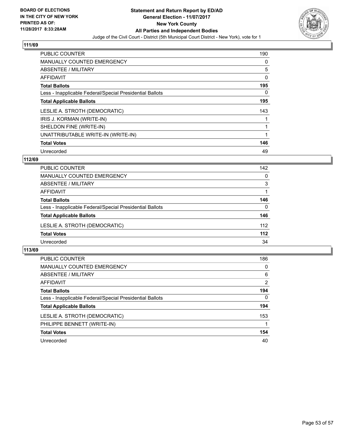

| <b>PUBLIC COUNTER</b>                                    | 190 |
|----------------------------------------------------------|-----|
| <b>MANUALLY COUNTED EMERGENCY</b>                        | 0   |
| ABSENTEE / MILITARY                                      | 5   |
| <b>AFFIDAVIT</b>                                         | 0   |
| <b>Total Ballots</b>                                     | 195 |
| Less - Inapplicable Federal/Special Presidential Ballots | 0   |
| <b>Total Applicable Ballots</b>                          | 195 |
| LESLIE A. STROTH (DEMOCRATIC)                            | 143 |
| IRIS J. KORMAN (WRITE-IN)                                |     |
| SHELDON FINE (WRITE-IN)                                  | 1   |
| UNATTRIBUTABLE WRITE-IN (WRITE-IN)                       | 1   |
| <b>Total Votes</b>                                       | 146 |
| Unrecorded                                               | 49  |

## **112/69**

| <b>PUBLIC COUNTER</b>                                    | 142   |
|----------------------------------------------------------|-------|
| <b>MANUALLY COUNTED EMERGENCY</b>                        | 0     |
| ABSENTEE / MILITARY                                      | 3     |
| AFFIDAVIT                                                |       |
| <b>Total Ballots</b>                                     | 146   |
| Less - Inapplicable Federal/Special Presidential Ballots | 0     |
| <b>Total Applicable Ballots</b>                          | 146   |
| LESLIE A. STROTH (DEMOCRATIC)                            | 112   |
| <b>Total Votes</b>                                       | $112$ |
| Unrecorded                                               | 34    |

| <b>PUBLIC COUNTER</b>                                    | 186      |
|----------------------------------------------------------|----------|
| <b>MANUALLY COUNTED EMERGENCY</b>                        | 0        |
| ABSENTEE / MILITARY                                      | 6        |
| AFFIDAVIT                                                | 2        |
| <b>Total Ballots</b>                                     | 194      |
| Less - Inapplicable Federal/Special Presidential Ballots | $\Omega$ |
| <b>Total Applicable Ballots</b>                          | 194      |
| LESLIE A. STROTH (DEMOCRATIC)                            | 153      |
| PHILIPPE BENNETT (WRITE-IN)                              |          |
| <b>Total Votes</b>                                       | 154      |
| Unrecorded                                               | 40       |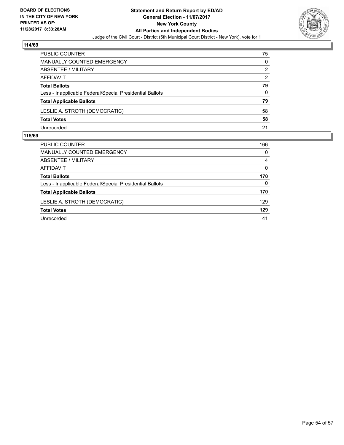

| PUBLIC COUNTER                                           | 75 |
|----------------------------------------------------------|----|
| MANUALLY COUNTED EMERGENCY                               | 0  |
| ABSENTEE / MILITARY                                      | 2  |
| AFFIDAVIT                                                | 2  |
| <b>Total Ballots</b>                                     | 79 |
| Less - Inapplicable Federal/Special Presidential Ballots | 0  |
| <b>Total Applicable Ballots</b>                          | 79 |
| LESLIE A. STROTH (DEMOCRATIC)                            | 58 |
| <b>Total Votes</b>                                       | 58 |
| Unrecorded                                               | 21 |

| PUBLIC COUNTER                                           | 166 |
|----------------------------------------------------------|-----|
| MANUALLY COUNTED EMERGENCY                               | 0   |
| ABSENTEE / MILITARY                                      | 4   |
| AFFIDAVIT                                                | 0   |
| <b>Total Ballots</b>                                     | 170 |
| Less - Inapplicable Federal/Special Presidential Ballots | 0   |
| <b>Total Applicable Ballots</b>                          | 170 |
| LESLIE A. STROTH (DEMOCRATIC)                            | 129 |
| <b>Total Votes</b>                                       | 129 |
| Unrecorded                                               | 41  |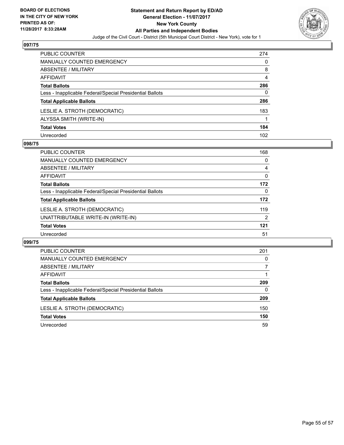

| <b>PUBLIC COUNTER</b>                                    | 274 |
|----------------------------------------------------------|-----|
| <b>MANUALLY COUNTED EMERGENCY</b>                        | 0   |
| <b>ABSENTEE / MILITARY</b>                               | 8   |
| <b>AFFIDAVIT</b>                                         | 4   |
| <b>Total Ballots</b>                                     | 286 |
| Less - Inapplicable Federal/Special Presidential Ballots | 0   |
| <b>Total Applicable Ballots</b>                          | 286 |
| LESLIE A. STROTH (DEMOCRATIC)                            | 183 |
| ALYSSA SMITH (WRITE-IN)                                  |     |
| <b>Total Votes</b>                                       | 184 |
| Unrecorded                                               | 102 |

#### **098/75**

| <b>PUBLIC COUNTER</b>                                    | 168 |
|----------------------------------------------------------|-----|
| <b>MANUALLY COUNTED EMERGENCY</b>                        | 0   |
| ABSENTEE / MILITARY                                      | 4   |
| AFFIDAVIT                                                | 0   |
| <b>Total Ballots</b>                                     | 172 |
| Less - Inapplicable Federal/Special Presidential Ballots | 0   |
| <b>Total Applicable Ballots</b>                          | 172 |
| LESLIE A. STROTH (DEMOCRATIC)                            | 119 |
| UNATTRIBUTABLE WRITE-IN (WRITE-IN)                       | 2   |
| <b>Total Votes</b>                                       | 121 |
| Unrecorded                                               | 51  |

| PUBLIC COUNTER                                           | 201 |
|----------------------------------------------------------|-----|
| <b>MANUALLY COUNTED EMERGENCY</b>                        | 0   |
| ABSENTEE / MILITARY                                      |     |
| AFFIDAVIT                                                |     |
| <b>Total Ballots</b>                                     | 209 |
| Less - Inapplicable Federal/Special Presidential Ballots | 0   |
| <b>Total Applicable Ballots</b>                          | 209 |
| LESLIE A. STROTH (DEMOCRATIC)                            | 150 |
| <b>Total Votes</b>                                       | 150 |
| Unrecorded                                               | 59  |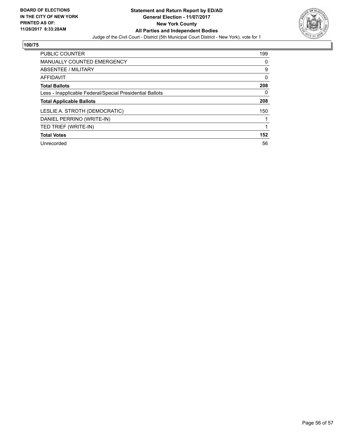

| <b>PUBLIC COUNTER</b>                                    | 199 |
|----------------------------------------------------------|-----|
| <b>MANUALLY COUNTED EMERGENCY</b>                        | 0   |
| ABSENTEE / MILITARY                                      | 9   |
| AFFIDAVIT                                                | 0   |
| <b>Total Ballots</b>                                     | 208 |
| Less - Inapplicable Federal/Special Presidential Ballots | 0   |
| <b>Total Applicable Ballots</b>                          | 208 |
| LESLIE A. STROTH (DEMOCRATIC)                            | 150 |
| DANIEL PERRINO (WRITE-IN)                                |     |
| TED TRIEF (WRITE-IN)                                     |     |
| <b>Total Votes</b>                                       | 152 |
| Unrecorded                                               | 56  |